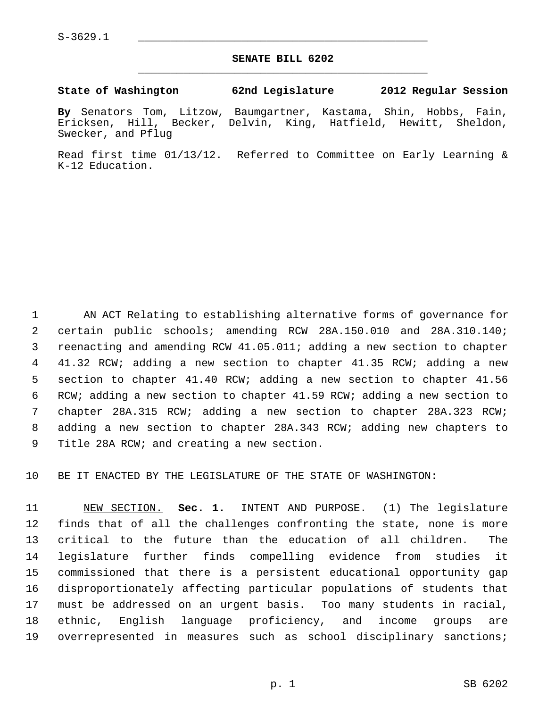$S-3629.1$ 

### **SENATE BILL 6202** \_\_\_\_\_\_\_\_\_\_\_\_\_\_\_\_\_\_\_\_\_\_\_\_\_\_\_\_\_\_\_\_\_\_\_\_\_\_\_\_\_\_\_\_\_

#### **State of Washington 62nd Legislature 2012 Regular Session**

**By** Senators Tom, Litzow, Baumgartner, Kastama, Shin, Hobbs, Fain, Ericksen, Hill, Becker, Delvin, King, Hatfield, Hewitt, Sheldon, Swecker, and Pflug

Read first time 01/13/12. Referred to Committee on Early Learning & K-12 Education.

 1 AN ACT Relating to establishing alternative forms of governance for 2 certain public schools; amending RCW 28A.150.010 and 28A.310.140; 3 reenacting and amending RCW 41.05.011; adding a new section to chapter 4 41.32 RCW; adding a new section to chapter 41.35 RCW; adding a new 5 section to chapter 41.40 RCW; adding a new section to chapter 41.56 6 RCW; adding a new section to chapter 41.59 RCW; adding a new section to 7 chapter 28A.315 RCW; adding a new section to chapter 28A.323 RCW; 8 adding a new section to chapter 28A.343 RCW; adding new chapters to 9 Title 28A RCW; and creating a new section.

10 BE IT ENACTED BY THE LEGISLATURE OF THE STATE OF WASHINGTON:

11 NEW SECTION. **Sec. 1.** INTENT AND PURPOSE. (1) The legislature 12 finds that of all the challenges confronting the state, none is more 13 critical to the future than the education of all children. The 14 legislature further finds compelling evidence from studies it 15 commissioned that there is a persistent educational opportunity gap 16 disproportionately affecting particular populations of students that 17 must be addressed on an urgent basis. Too many students in racial, 18 ethnic, English language proficiency, and income groups are 19 overrepresented in measures such as school disciplinary sanctions;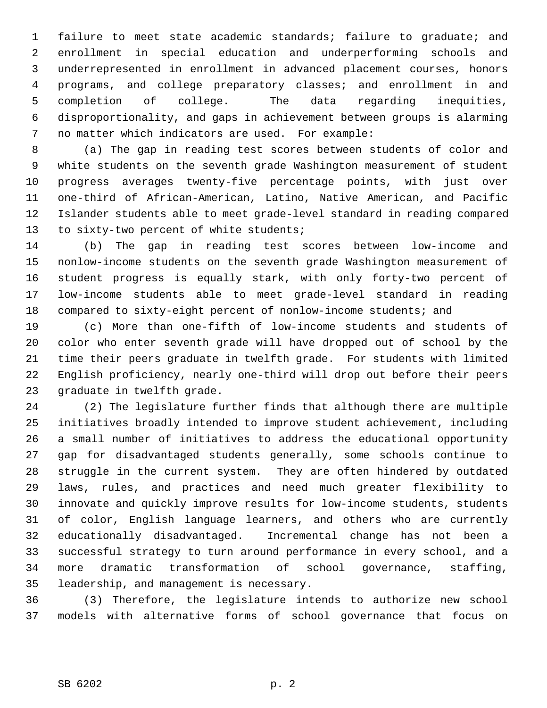1 failure to meet state academic standards; failure to graduate; and 2 enrollment in special education and underperforming schools and 3 underrepresented in enrollment in advanced placement courses, honors 4 programs, and college preparatory classes; and enrollment in and 5 completion of college. The data regarding inequities, 6 disproportionality, and gaps in achievement between groups is alarming 7 no matter which indicators are used. For example:

 8 (a) The gap in reading test scores between students of color and 9 white students on the seventh grade Washington measurement of student 10 progress averages twenty-five percentage points, with just over 11 one-third of African-American, Latino, Native American, and Pacific 12 Islander students able to meet grade-level standard in reading compared 13 to sixty-two percent of white students;

14 (b) The gap in reading test scores between low-income and 15 nonlow-income students on the seventh grade Washington measurement of 16 student progress is equally stark, with only forty-two percent of 17 low-income students able to meet grade-level standard in reading 18 compared to sixty-eight percent of nonlow-income students; and

19 (c) More than one-fifth of low-income students and students of 20 color who enter seventh grade will have dropped out of school by the 21 time their peers graduate in twelfth grade. For students with limited 22 English proficiency, nearly one-third will drop out before their peers 23 graduate in twelfth grade.

24 (2) The legislature further finds that although there are multiple 25 initiatives broadly intended to improve student achievement, including 26 a small number of initiatives to address the educational opportunity 27 gap for disadvantaged students generally, some schools continue to 28 struggle in the current system. They are often hindered by outdated 29 laws, rules, and practices and need much greater flexibility to 30 innovate and quickly improve results for low-income students, students 31 of color, English language learners, and others who are currently 32 educationally disadvantaged. Incremental change has not been a 33 successful strategy to turn around performance in every school, and a 34 more dramatic transformation of school governance, staffing, 35 leadership, and management is necessary.

36 (3) Therefore, the legislature intends to authorize new school 37 models with alternative forms of school governance that focus on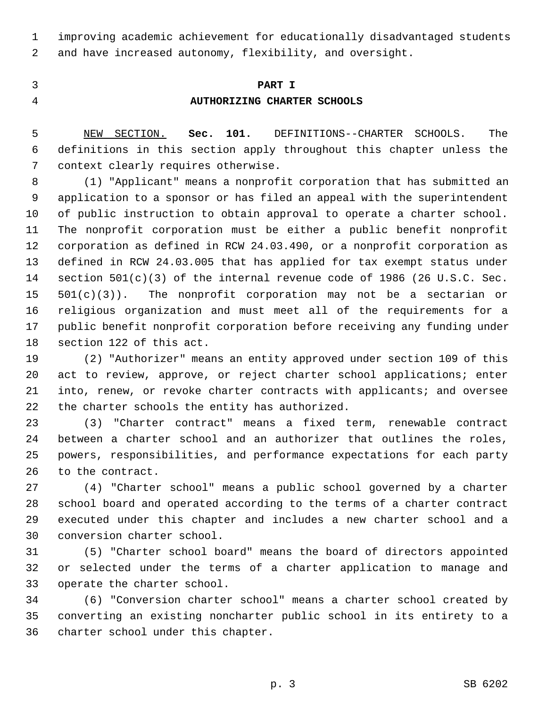1 improving academic achievement for educationally disadvantaged students 2 and have increased autonomy, flexibility, and oversight.

# 3 **PART I** 4 **AUTHORIZING CHARTER SCHOOLS**

 5 NEW SECTION. **Sec. 101.** DEFINITIONS--CHARTER SCHOOLS. The 6 definitions in this section apply throughout this chapter unless the 7 context clearly requires otherwise.

 8 (1) "Applicant" means a nonprofit corporation that has submitted an 9 application to a sponsor or has filed an appeal with the superintendent 10 of public instruction to obtain approval to operate a charter school. 11 The nonprofit corporation must be either a public benefit nonprofit 12 corporation as defined in RCW 24.03.490, or a nonprofit corporation as 13 defined in RCW 24.03.005 that has applied for tax exempt status under 14 section 501(c)(3) of the internal revenue code of 1986 (26 U.S.C. Sec.  $15$   $501(c)(3)$ . The nonprofit corporation may not be a sectarian or 16 religious organization and must meet all of the requirements for a 17 public benefit nonprofit corporation before receiving any funding under 18 section 122 of this act.

19 (2) "Authorizer" means an entity approved under section 109 of this 20 act to review, approve, or reject charter school applications; enter 21 into, renew, or revoke charter contracts with applicants; and oversee 22 the charter schools the entity has authorized.

23 (3) "Charter contract" means a fixed term, renewable contract 24 between a charter school and an authorizer that outlines the roles, 25 powers, responsibilities, and performance expectations for each party 26 to the contract.

27 (4) "Charter school" means a public school governed by a charter 28 school board and operated according to the terms of a charter contract 29 executed under this chapter and includes a new charter school and a 30 conversion charter school.

31 (5) "Charter school board" means the board of directors appointed 32 or selected under the terms of a charter application to manage and 33 operate the charter school.

34 (6) "Conversion charter school" means a charter school created by 35 converting an existing noncharter public school in its entirety to a 36 charter school under this chapter.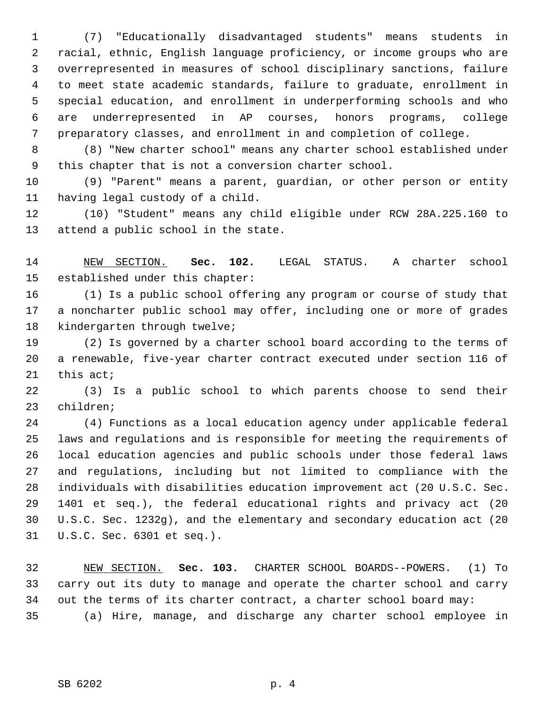1 (7) "Educationally disadvantaged students" means students in 2 racial, ethnic, English language proficiency, or income groups who are 3 overrepresented in measures of school disciplinary sanctions, failure 4 to meet state academic standards, failure to graduate, enrollment in 5 special education, and enrollment in underperforming schools and who 6 are underrepresented in AP courses, honors programs, college 7 preparatory classes, and enrollment in and completion of college.

 8 (8) "New charter school" means any charter school established under 9 this chapter that is not a conversion charter school.

10 (9) "Parent" means a parent, guardian, or other person or entity 11 having legal custody of a child.

12 (10) "Student" means any child eligible under RCW 28A.225.160 to 13 attend a public school in the state.

14 NEW SECTION. **Sec. 102.** LEGAL STATUS. A charter school 15 established under this chapter:

16 (1) Is a public school offering any program or course of study that 17 a noncharter public school may offer, including one or more of grades 18 kindergarten through twelve;

19 (2) Is governed by a charter school board according to the terms of 20 a renewable, five-year charter contract executed under section 116 of 21 this act;

22 (3) Is a public school to which parents choose to send their 23 children;

24 (4) Functions as a local education agency under applicable federal 25 laws and regulations and is responsible for meeting the requirements of 26 local education agencies and public schools under those federal laws 27 and regulations, including but not limited to compliance with the 28 individuals with disabilities education improvement act (20 U.S.C. Sec. 29 1401 et seq.), the federal educational rights and privacy act (20 30 U.S.C. Sec. 1232g), and the elementary and secondary education act (20 31 U.S.C. Sec. 6301 et seq.).

32 NEW SECTION. **Sec. 103.** CHARTER SCHOOL BOARDS--POWERS. (1) To 33 carry out its duty to manage and operate the charter school and carry 34 out the terms of its charter contract, a charter school board may: 35 (a) Hire, manage, and discharge any charter school employee in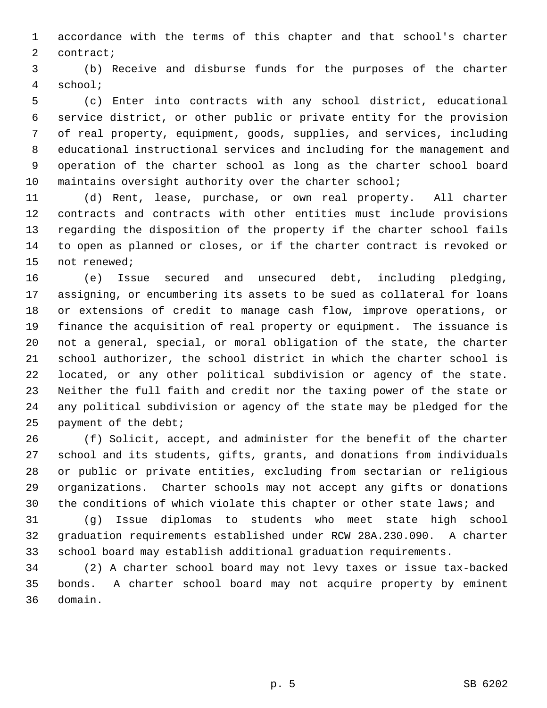1 accordance with the terms of this chapter and that school's charter 2 contract;

 3 (b) Receive and disburse funds for the purposes of the charter 4 school;

 5 (c) Enter into contracts with any school district, educational 6 service district, or other public or private entity for the provision 7 of real property, equipment, goods, supplies, and services, including 8 educational instructional services and including for the management and 9 operation of the charter school as long as the charter school board 10 maintains oversight authority over the charter school;

11 (d) Rent, lease, purchase, or own real property. All charter 12 contracts and contracts with other entities must include provisions 13 regarding the disposition of the property if the charter school fails 14 to open as planned or closes, or if the charter contract is revoked or 15 not renewed;

16 (e) Issue secured and unsecured debt, including pledging, 17 assigning, or encumbering its assets to be sued as collateral for loans 18 or extensions of credit to manage cash flow, improve operations, or 19 finance the acquisition of real property or equipment. The issuance is 20 not a general, special, or moral obligation of the state, the charter 21 school authorizer, the school district in which the charter school is 22 located, or any other political subdivision or agency of the state. 23 Neither the full faith and credit nor the taxing power of the state or 24 any political subdivision or agency of the state may be pledged for the 25 payment of the debt;

26 (f) Solicit, accept, and administer for the benefit of the charter 27 school and its students, gifts, grants, and donations from individuals 28 or public or private entities, excluding from sectarian or religious 29 organizations. Charter schools may not accept any gifts or donations 30 the conditions of which violate this chapter or other state laws; and

31 (g) Issue diplomas to students who meet state high school 32 graduation requirements established under RCW 28A.230.090. A charter 33 school board may establish additional graduation requirements.

34 (2) A charter school board may not levy taxes or issue tax-backed 35 bonds. A charter school board may not acquire property by eminent 36 domain.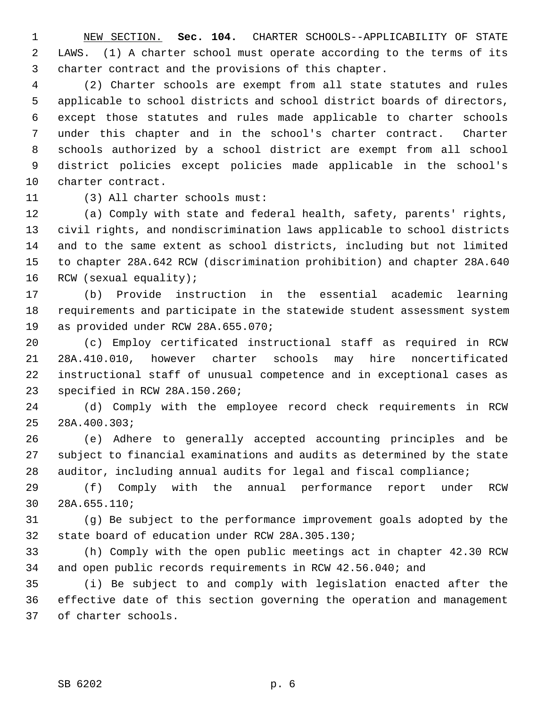1 NEW SECTION. **Sec. 104.** CHARTER SCHOOLS--APPLICABILITY OF STATE 2 LAWS. (1) A charter school must operate according to the terms of its 3 charter contract and the provisions of this chapter.

 4 (2) Charter schools are exempt from all state statutes and rules 5 applicable to school districts and school district boards of directors, 6 except those statutes and rules made applicable to charter schools 7 under this chapter and in the school's charter contract. Charter 8 schools authorized by a school district are exempt from all school 9 district policies except policies made applicable in the school's 10 charter contract.

11 (3) All charter schools must:

12 (a) Comply with state and federal health, safety, parents' rights, 13 civil rights, and nondiscrimination laws applicable to school districts 14 and to the same extent as school districts, including but not limited 15 to chapter 28A.642 RCW (discrimination prohibition) and chapter 28A.640 16 RCW (sexual equality);

17 (b) Provide instruction in the essential academic learning 18 requirements and participate in the statewide student assessment system 19 as provided under RCW 28A.655.070;

20 (c) Employ certificated instructional staff as required in RCW 21 28A.410.010, however charter schools may hire noncertificated 22 instructional staff of unusual competence and in exceptional cases as 23 specified in RCW 28A.150.260;

24 (d) Comply with the employee record check requirements in RCW 25 28A.400.303;

26 (e) Adhere to generally accepted accounting principles and be 27 subject to financial examinations and audits as determined by the state 28 auditor, including annual audits for legal and fiscal compliance;

29 (f) Comply with the annual performance report under RCW 30 28A.655.110;

31 (g) Be subject to the performance improvement goals adopted by the 32 state board of education under RCW 28A.305.130;

33 (h) Comply with the open public meetings act in chapter 42.30 RCW 34 and open public records requirements in RCW 42.56.040; and

35 (i) Be subject to and comply with legislation enacted after the 36 effective date of this section governing the operation and management 37 of charter schools.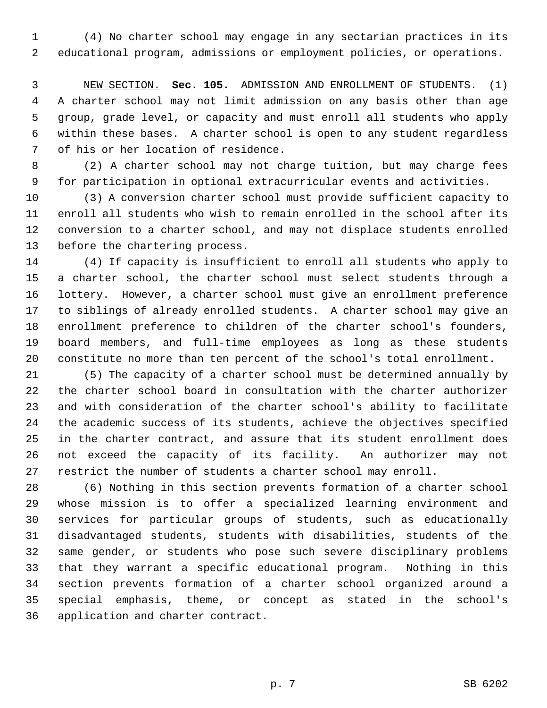1 (4) No charter school may engage in any sectarian practices in its 2 educational program, admissions or employment policies, or operations.

 3 NEW SECTION. **Sec. 105.** ADMISSION AND ENROLLMENT OF STUDENTS. (1) 4 A charter school may not limit admission on any basis other than age 5 group, grade level, or capacity and must enroll all students who apply 6 within these bases. A charter school is open to any student regardless 7 of his or her location of residence.

 8 (2) A charter school may not charge tuition, but may charge fees 9 for participation in optional extracurricular events and activities.

10 (3) A conversion charter school must provide sufficient capacity to 11 enroll all students who wish to remain enrolled in the school after its 12 conversion to a charter school, and may not displace students enrolled 13 before the chartering process.

14 (4) If capacity is insufficient to enroll all students who apply to 15 a charter school, the charter school must select students through a 16 lottery. However, a charter school must give an enrollment preference 17 to siblings of already enrolled students. A charter school may give an 18 enrollment preference to children of the charter school's founders, 19 board members, and full-time employees as long as these students 20 constitute no more than ten percent of the school's total enrollment.

21 (5) The capacity of a charter school must be determined annually by 22 the charter school board in consultation with the charter authorizer 23 and with consideration of the charter school's ability to facilitate 24 the academic success of its students, achieve the objectives specified 25 in the charter contract, and assure that its student enrollment does 26 not exceed the capacity of its facility. An authorizer may not 27 restrict the number of students a charter school may enroll.

28 (6) Nothing in this section prevents formation of a charter school 29 whose mission is to offer a specialized learning environment and 30 services for particular groups of students, such as educationally 31 disadvantaged students, students with disabilities, students of the 32 same gender, or students who pose such severe disciplinary problems 33 that they warrant a specific educational program. Nothing in this 34 section prevents formation of a charter school organized around a 35 special emphasis, theme, or concept as stated in the school's 36 application and charter contract.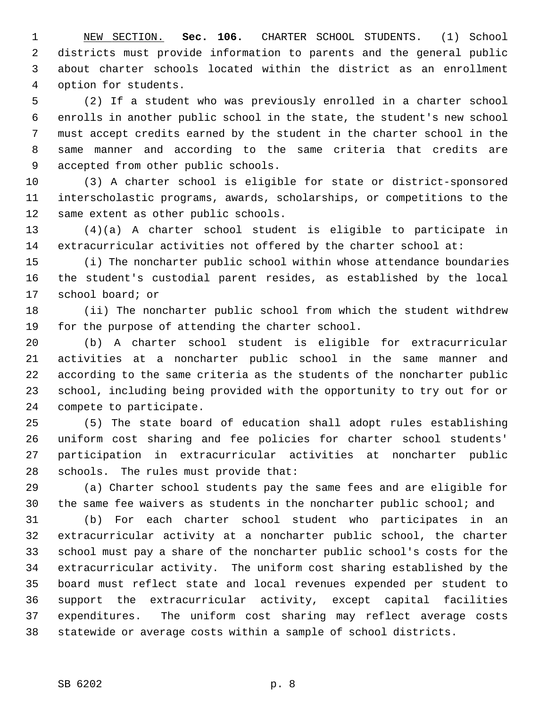1 NEW SECTION. **Sec. 106.** CHARTER SCHOOL STUDENTS. (1) School 2 districts must provide information to parents and the general public 3 about charter schools located within the district as an enrollment 4 option for students.

 5 (2) If a student who was previously enrolled in a charter school 6 enrolls in another public school in the state, the student's new school 7 must accept credits earned by the student in the charter school in the 8 same manner and according to the same criteria that credits are 9 accepted from other public schools.

10 (3) A charter school is eligible for state or district-sponsored 11 interscholastic programs, awards, scholarships, or competitions to the 12 same extent as other public schools.

13 (4)(a) A charter school student is eligible to participate in 14 extracurricular activities not offered by the charter school at:

15 (i) The noncharter public school within whose attendance boundaries 16 the student's custodial parent resides, as established by the local 17 school board; or

18 (ii) The noncharter public school from which the student withdrew 19 for the purpose of attending the charter school.

20 (b) A charter school student is eligible for extracurricular 21 activities at a noncharter public school in the same manner and 22 according to the same criteria as the students of the noncharter public 23 school, including being provided with the opportunity to try out for or 24 compete to participate.

25 (5) The state board of education shall adopt rules establishing 26 uniform cost sharing and fee policies for charter school students' 27 participation in extracurricular activities at noncharter public 28 schools. The rules must provide that:

29 (a) Charter school students pay the same fees and are eligible for 30 the same fee waivers as students in the noncharter public school; and

31 (b) For each charter school student who participates in an 32 extracurricular activity at a noncharter public school, the charter 33 school must pay a share of the noncharter public school's costs for the 34 extracurricular activity. The uniform cost sharing established by the 35 board must reflect state and local revenues expended per student to 36 support the extracurricular activity, except capital facilities 37 expenditures. The uniform cost sharing may reflect average costs 38 statewide or average costs within a sample of school districts.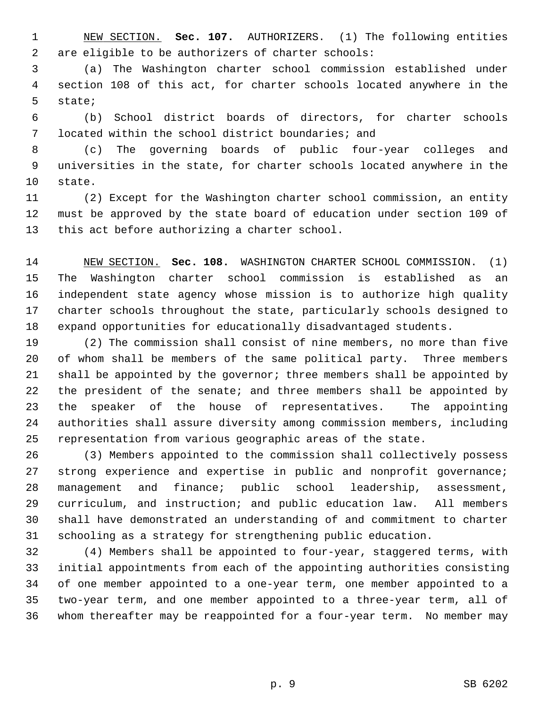1 NEW SECTION. **Sec. 107.** AUTHORIZERS. (1) The following entities 2 are eligible to be authorizers of charter schools:

 3 (a) The Washington charter school commission established under 4 section 108 of this act, for charter schools located anywhere in the 5 state;

 6 (b) School district boards of directors, for charter schools 7 located within the school district boundaries; and

 8 (c) The governing boards of public four-year colleges and 9 universities in the state, for charter schools located anywhere in the 10 state.

11 (2) Except for the Washington charter school commission, an entity 12 must be approved by the state board of education under section 109 of 13 this act before authorizing a charter school.

14 NEW SECTION. **Sec. 108.** WASHINGTON CHARTER SCHOOL COMMISSION. (1) 15 The Washington charter school commission is established as an 16 independent state agency whose mission is to authorize high quality 17 charter schools throughout the state, particularly schools designed to 18 expand opportunities for educationally disadvantaged students.

19 (2) The commission shall consist of nine members, no more than five 20 of whom shall be members of the same political party. Three members 21 shall be appointed by the governor; three members shall be appointed by 22 the president of the senate; and three members shall be appointed by 23 the speaker of the house of representatives. The appointing 24 authorities shall assure diversity among commission members, including 25 representation from various geographic areas of the state.

26 (3) Members appointed to the commission shall collectively possess 27 strong experience and expertise in public and nonprofit governance; 28 management and finance; public school leadership, assessment, 29 curriculum, and instruction; and public education law. All members 30 shall have demonstrated an understanding of and commitment to charter 31 schooling as a strategy for strengthening public education.

32 (4) Members shall be appointed to four-year, staggered terms, with 33 initial appointments from each of the appointing authorities consisting 34 of one member appointed to a one-year term, one member appointed to a 35 two-year term, and one member appointed to a three-year term, all of 36 whom thereafter may be reappointed for a four-year term. No member may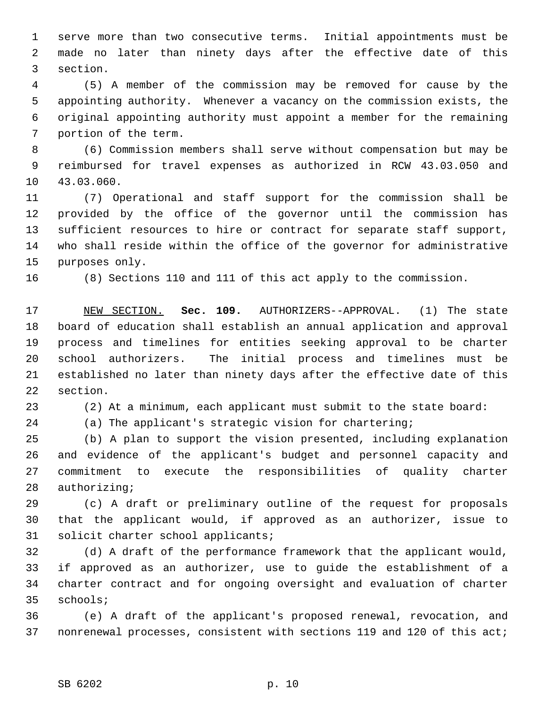1 serve more than two consecutive terms. Initial appointments must be 2 made no later than ninety days after the effective date of this 3 section.

 4 (5) A member of the commission may be removed for cause by the 5 appointing authority. Whenever a vacancy on the commission exists, the 6 original appointing authority must appoint a member for the remaining 7 portion of the term.

 8 (6) Commission members shall serve without compensation but may be 9 reimbursed for travel expenses as authorized in RCW 43.03.050 and 10 43.03.060.

11 (7) Operational and staff support for the commission shall be 12 provided by the office of the governor until the commission has 13 sufficient resources to hire or contract for separate staff support, 14 who shall reside within the office of the governor for administrative 15 purposes only.

16 (8) Sections 110 and 111 of this act apply to the commission.

17 NEW SECTION. **Sec. 109.** AUTHORIZERS--APPROVAL. (1) The state 18 board of education shall establish an annual application and approval 19 process and timelines for entities seeking approval to be charter 20 school authorizers. The initial process and timelines must be 21 established no later than ninety days after the effective date of this 22 section.

23 (2) At a minimum, each applicant must submit to the state board:

24 (a) The applicant's strategic vision for chartering;

25 (b) A plan to support the vision presented, including explanation 26 and evidence of the applicant's budget and personnel capacity and 27 commitment to execute the responsibilities of quality charter 28 authorizing;

29 (c) A draft or preliminary outline of the request for proposals 30 that the applicant would, if approved as an authorizer, issue to 31 solicit charter school applicants;

32 (d) A draft of the performance framework that the applicant would, 33 if approved as an authorizer, use to guide the establishment of a 34 charter contract and for ongoing oversight and evaluation of charter 35 schools;

36 (e) A draft of the applicant's proposed renewal, revocation, and 37 nonrenewal processes, consistent with sections 119 and 120 of this act;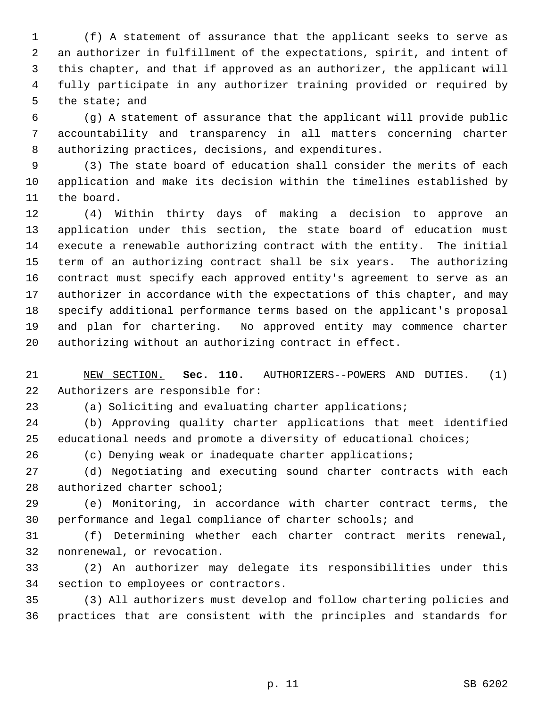1 (f) A statement of assurance that the applicant seeks to serve as 2 an authorizer in fulfillment of the expectations, spirit, and intent of 3 this chapter, and that if approved as an authorizer, the applicant will 4 fully participate in any authorizer training provided or required by 5 the state; and

 6 (g) A statement of assurance that the applicant will provide public 7 accountability and transparency in all matters concerning charter 8 authorizing practices, decisions, and expenditures.

 9 (3) The state board of education shall consider the merits of each 10 application and make its decision within the timelines established by 11 the board.

12 (4) Within thirty days of making a decision to approve an 13 application under this section, the state board of education must 14 execute a renewable authorizing contract with the entity. The initial 15 term of an authorizing contract shall be six years. The authorizing 16 contract must specify each approved entity's agreement to serve as an 17 authorizer in accordance with the expectations of this chapter, and may 18 specify additional performance terms based on the applicant's proposal 19 and plan for chartering. No approved entity may commence charter 20 authorizing without an authorizing contract in effect.

21 NEW SECTION. **Sec. 110.** AUTHORIZERS--POWERS AND DUTIES. (1) 22 Authorizers are responsible for:

23 (a) Soliciting and evaluating charter applications;

24 (b) Approving quality charter applications that meet identified 25 educational needs and promote a diversity of educational choices;

26 (c) Denying weak or inadequate charter applications;

27 (d) Negotiating and executing sound charter contracts with each 28 authorized charter school;

29 (e) Monitoring, in accordance with charter contract terms, the 30 performance and legal compliance of charter schools; and

31 (f) Determining whether each charter contract merits renewal, 32 nonrenewal, or revocation.

33 (2) An authorizer may delegate its responsibilities under this 34 section to employees or contractors.

35 (3) All authorizers must develop and follow chartering policies and 36 practices that are consistent with the principles and standards for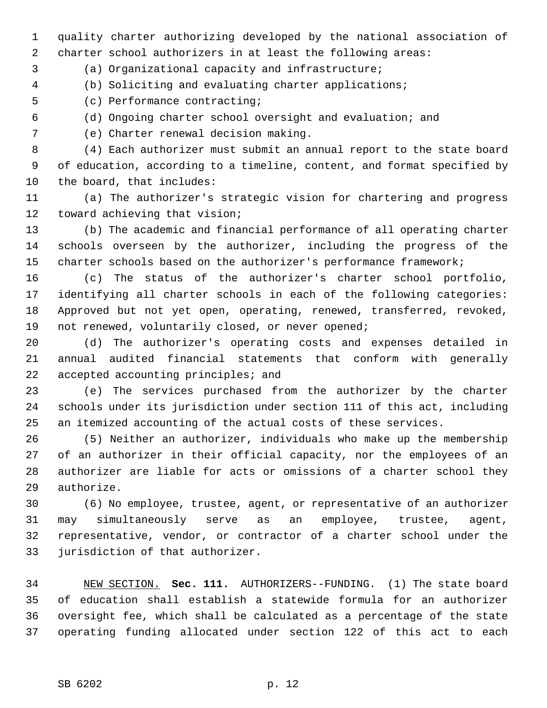1 quality charter authorizing developed by the national association of 2 charter school authorizers in at least the following areas:

3 (a) Organizational capacity and infrastructure;

4 (b) Soliciting and evaluating charter applications;

5 (c) Performance contracting;

6 (d) Ongoing charter school oversight and evaluation; and

7 (e) Charter renewal decision making.

 8 (4) Each authorizer must submit an annual report to the state board 9 of education, according to a timeline, content, and format specified by 10 the board, that includes:

11 (a) The authorizer's strategic vision for chartering and progress 12 toward achieving that vision;

13 (b) The academic and financial performance of all operating charter 14 schools overseen by the authorizer, including the progress of the 15 charter schools based on the authorizer's performance framework;

16 (c) The status of the authorizer's charter school portfolio, 17 identifying all charter schools in each of the following categories: 18 Approved but not yet open, operating, renewed, transferred, revoked, 19 not renewed, voluntarily closed, or never opened;

20 (d) The authorizer's operating costs and expenses detailed in 21 annual audited financial statements that conform with generally 22 accepted accounting principles; and

23 (e) The services purchased from the authorizer by the charter 24 schools under its jurisdiction under section 111 of this act, including 25 an itemized accounting of the actual costs of these services.

26 (5) Neither an authorizer, individuals who make up the membership 27 of an authorizer in their official capacity, nor the employees of an 28 authorizer are liable for acts or omissions of a charter school they 29 authorize.

30 (6) No employee, trustee, agent, or representative of an authorizer 31 may simultaneously serve as an employee, trustee, agent, 32 representative, vendor, or contractor of a charter school under the 33 jurisdiction of that authorizer.

34 NEW SECTION. **Sec. 111.** AUTHORIZERS--FUNDING. (1) The state board 35 of education shall establish a statewide formula for an authorizer 36 oversight fee, which shall be calculated as a percentage of the state 37 operating funding allocated under section 122 of this act to each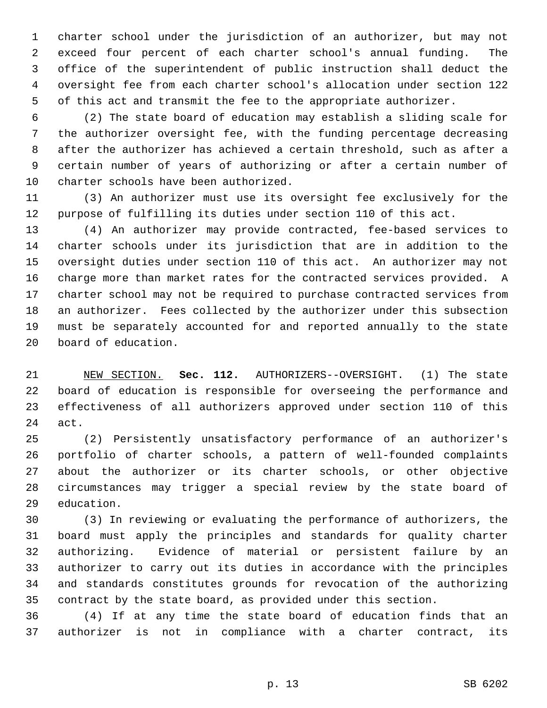1 charter school under the jurisdiction of an authorizer, but may not 2 exceed four percent of each charter school's annual funding. The 3 office of the superintendent of public instruction shall deduct the 4 oversight fee from each charter school's allocation under section 122 5 of this act and transmit the fee to the appropriate authorizer.

 6 (2) The state board of education may establish a sliding scale for 7 the authorizer oversight fee, with the funding percentage decreasing 8 after the authorizer has achieved a certain threshold, such as after a 9 certain number of years of authorizing or after a certain number of 10 charter schools have been authorized.

11 (3) An authorizer must use its oversight fee exclusively for the 12 purpose of fulfilling its duties under section 110 of this act.

13 (4) An authorizer may provide contracted, fee-based services to 14 charter schools under its jurisdiction that are in addition to the 15 oversight duties under section 110 of this act. An authorizer may not 16 charge more than market rates for the contracted services provided. A 17 charter school may not be required to purchase contracted services from 18 an authorizer. Fees collected by the authorizer under this subsection 19 must be separately accounted for and reported annually to the state 20 board of education.

21 NEW SECTION. **Sec. 112.** AUTHORIZERS--OVERSIGHT. (1) The state 22 board of education is responsible for overseeing the performance and 23 effectiveness of all authorizers approved under section 110 of this 24 act.

25 (2) Persistently unsatisfactory performance of an authorizer's 26 portfolio of charter schools, a pattern of well-founded complaints 27 about the authorizer or its charter schools, or other objective 28 circumstances may trigger a special review by the state board of 29 education.

30 (3) In reviewing or evaluating the performance of authorizers, the 31 board must apply the principles and standards for quality charter 32 authorizing. Evidence of material or persistent failure by an 33 authorizer to carry out its duties in accordance with the principles 34 and standards constitutes grounds for revocation of the authorizing 35 contract by the state board, as provided under this section.

36 (4) If at any time the state board of education finds that an 37 authorizer is not in compliance with a charter contract, its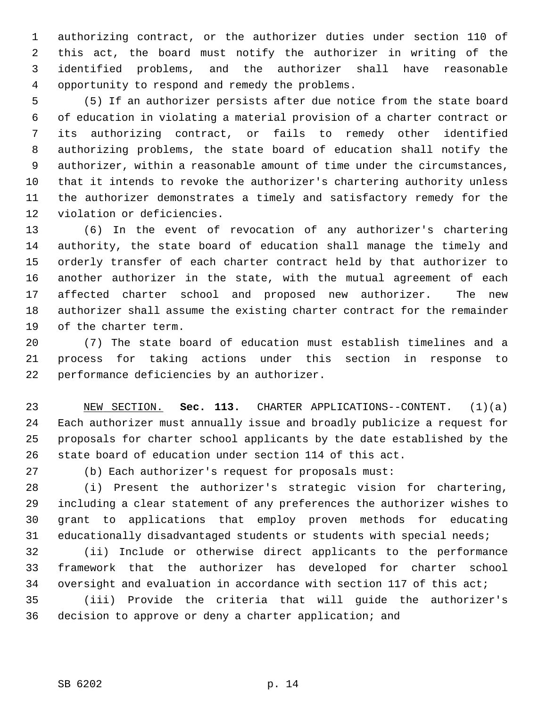1 authorizing contract, or the authorizer duties under section 110 of 2 this act, the board must notify the authorizer in writing of the 3 identified problems, and the authorizer shall have reasonable 4 opportunity to respond and remedy the problems.

 5 (5) If an authorizer persists after due notice from the state board 6 of education in violating a material provision of a charter contract or 7 its authorizing contract, or fails to remedy other identified 8 authorizing problems, the state board of education shall notify the 9 authorizer, within a reasonable amount of time under the circumstances, 10 that it intends to revoke the authorizer's chartering authority unless 11 the authorizer demonstrates a timely and satisfactory remedy for the 12 violation or deficiencies.

13 (6) In the event of revocation of any authorizer's chartering 14 authority, the state board of education shall manage the timely and 15 orderly transfer of each charter contract held by that authorizer to 16 another authorizer in the state, with the mutual agreement of each 17 affected charter school and proposed new authorizer. The new 18 authorizer shall assume the existing charter contract for the remainder 19 of the charter term.

20 (7) The state board of education must establish timelines and a 21 process for taking actions under this section in response to 22 performance deficiencies by an authorizer.

23 NEW SECTION. **Sec. 113.** CHARTER APPLICATIONS--CONTENT. (1)(a) 24 Each authorizer must annually issue and broadly publicize a request for 25 proposals for charter school applicants by the date established by the 26 state board of education under section 114 of this act.

27 (b) Each authorizer's request for proposals must:

28 (i) Present the authorizer's strategic vision for chartering, 29 including a clear statement of any preferences the authorizer wishes to 30 grant to applications that employ proven methods for educating 31 educationally disadvantaged students or students with special needs;

32 (ii) Include or otherwise direct applicants to the performance 33 framework that the authorizer has developed for charter school 34 oversight and evaluation in accordance with section 117 of this act;

35 (iii) Provide the criteria that will guide the authorizer's 36 decision to approve or deny a charter application; and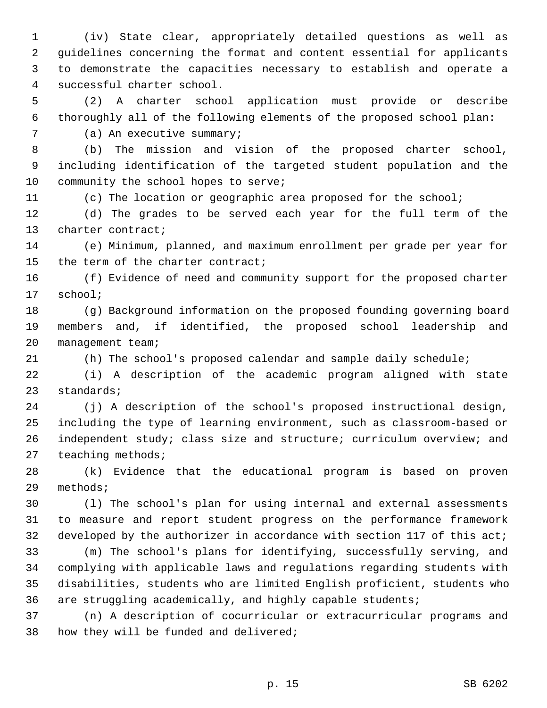1 (iv) State clear, appropriately detailed questions as well as 2 guidelines concerning the format and content essential for applicants 3 to demonstrate the capacities necessary to establish and operate a 4 successful charter school.

 5 (2) A charter school application must provide or describe 6 thoroughly all of the following elements of the proposed school plan:

7 (a) An executive summary;

 8 (b) The mission and vision of the proposed charter school, 9 including identification of the targeted student population and the 10 community the school hopes to serve;

11 (c) The location or geographic area proposed for the school;

12 (d) The grades to be served each year for the full term of the 13 charter contract;

14 (e) Minimum, planned, and maximum enrollment per grade per year for 15 the term of the charter contract;

16 (f) Evidence of need and community support for the proposed charter 17 school;

18 (g) Background information on the proposed founding governing board 19 members and, if identified, the proposed school leadership and 20 management team;

21 (h) The school's proposed calendar and sample daily schedule;

22 (i) A description of the academic program aligned with state 23 standards;

24 (j) A description of the school's proposed instructional design, 25 including the type of learning environment, such as classroom-based or 26 independent study; class size and structure; curriculum overview; and 27 teaching methods;

28 (k) Evidence that the educational program is based on proven 29 methods;

30 (l) The school's plan for using internal and external assessments 31 to measure and report student progress on the performance framework 32 developed by the authorizer in accordance with section 117 of this act;

33 (m) The school's plans for identifying, successfully serving, and 34 complying with applicable laws and regulations regarding students with 35 disabilities, students who are limited English proficient, students who 36 are struggling academically, and highly capable students;

37 (n) A description of cocurricular or extracurricular programs and 38 how they will be funded and delivered;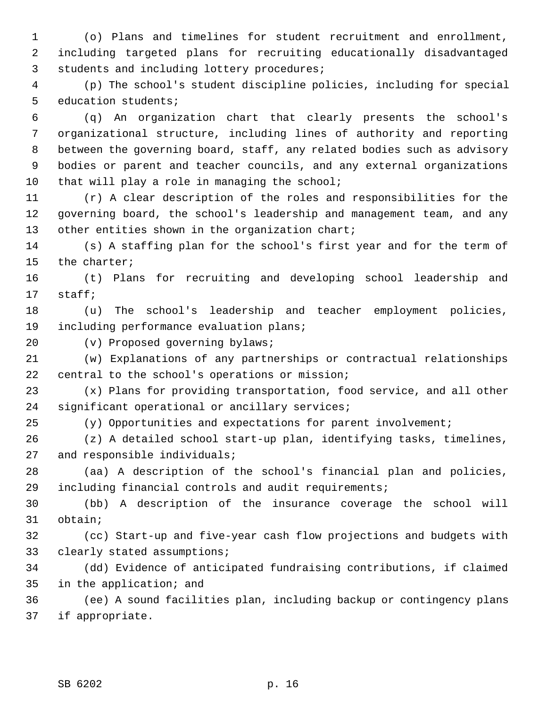1 (o) Plans and timelines for student recruitment and enrollment, 2 including targeted plans for recruiting educationally disadvantaged 3 students and including lottery procedures;

 4 (p) The school's student discipline policies, including for special 5 education students;

 6 (q) An organization chart that clearly presents the school's 7 organizational structure, including lines of authority and reporting 8 between the governing board, staff, any related bodies such as advisory 9 bodies or parent and teacher councils, and any external organizations 10 that will play a role in managing the school;

11 (r) A clear description of the roles and responsibilities for the 12 governing board, the school's leadership and management team, and any 13 other entities shown in the organization chart;

14 (s) A staffing plan for the school's first year and for the term of 15 the charter;

16 (t) Plans for recruiting and developing school leadership and 17 staff;

18 (u) The school's leadership and teacher employment policies, 19 including performance evaluation plans;

20 (v) Proposed governing bylaws;

21 (w) Explanations of any partnerships or contractual relationships 22 central to the school's operations or mission;

23 (x) Plans for providing transportation, food service, and all other 24 significant operational or ancillary services;

25 (y) Opportunities and expectations for parent involvement;

26 (z) A detailed school start-up plan, identifying tasks, timelines, 27 and responsible individuals;

28 (aa) A description of the school's financial plan and policies, 29 including financial controls and audit requirements;

30 (bb) A description of the insurance coverage the school will 31 obtain;

32 (cc) Start-up and five-year cash flow projections and budgets with 33 clearly stated assumptions;

34 (dd) Evidence of anticipated fundraising contributions, if claimed 35 in the application; and

36 (ee) A sound facilities plan, including backup or contingency plans 37 if appropriate.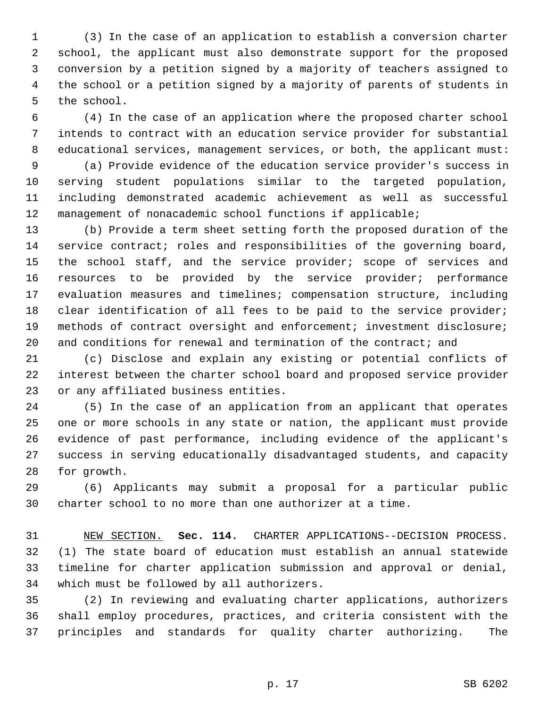1 (3) In the case of an application to establish a conversion charter 2 school, the applicant must also demonstrate support for the proposed 3 conversion by a petition signed by a majority of teachers assigned to 4 the school or a petition signed by a majority of parents of students in 5 the school.

 6 (4) In the case of an application where the proposed charter school 7 intends to contract with an education service provider for substantial 8 educational services, management services, or both, the applicant must:

 9 (a) Provide evidence of the education service provider's success in 10 serving student populations similar to the targeted population, 11 including demonstrated academic achievement as well as successful 12 management of nonacademic school functions if applicable;

13 (b) Provide a term sheet setting forth the proposed duration of the 14 service contract; roles and responsibilities of the governing board, 15 the school staff, and the service provider; scope of services and 16 resources to be provided by the service provider; performance 17 evaluation measures and timelines; compensation structure, including 18 clear identification of all fees to be paid to the service provider; 19 methods of contract oversight and enforcement; investment disclosure; 20 and conditions for renewal and termination of the contract; and

21 (c) Disclose and explain any existing or potential conflicts of 22 interest between the charter school board and proposed service provider 23 or any affiliated business entities.

24 (5) In the case of an application from an applicant that operates 25 one or more schools in any state or nation, the applicant must provide 26 evidence of past performance, including evidence of the applicant's 27 success in serving educationally disadvantaged students, and capacity 28 for growth.

29 (6) Applicants may submit a proposal for a particular public 30 charter school to no more than one authorizer at a time.

31 NEW SECTION. **Sec. 114.** CHARTER APPLICATIONS--DECISION PROCESS. 32 (1) The state board of education must establish an annual statewide 33 timeline for charter application submission and approval or denial, 34 which must be followed by all authorizers.

35 (2) In reviewing and evaluating charter applications, authorizers 36 shall employ procedures, practices, and criteria consistent with the 37 principles and standards for quality charter authorizing. The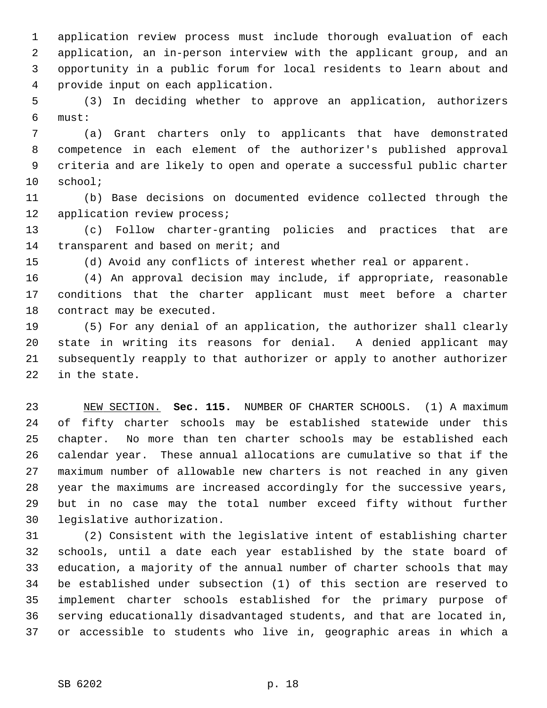1 application review process must include thorough evaluation of each 2 application, an in-person interview with the applicant group, and an 3 opportunity in a public forum for local residents to learn about and 4 provide input on each application.

 5 (3) In deciding whether to approve an application, authorizers 6 must:

 7 (a) Grant charters only to applicants that have demonstrated 8 competence in each element of the authorizer's published approval 9 criteria and are likely to open and operate a successful public charter 10 school;

11 (b) Base decisions on documented evidence collected through the 12 application review process;

13 (c) Follow charter-granting policies and practices that are 14 transparent and based on merit; and

15 (d) Avoid any conflicts of interest whether real or apparent.

16 (4) An approval decision may include, if appropriate, reasonable 17 conditions that the charter applicant must meet before a charter 18 contract may be executed.

19 (5) For any denial of an application, the authorizer shall clearly 20 state in writing its reasons for denial. A denied applicant may 21 subsequently reapply to that authorizer or apply to another authorizer 22 in the state.

23 NEW SECTION. **Sec. 115.** NUMBER OF CHARTER SCHOOLS. (1) A maximum 24 of fifty charter schools may be established statewide under this 25 chapter. No more than ten charter schools may be established each 26 calendar year. These annual allocations are cumulative so that if the 27 maximum number of allowable new charters is not reached in any given 28 year the maximums are increased accordingly for the successive years, 29 but in no case may the total number exceed fifty without further 30 legislative authorization.

31 (2) Consistent with the legislative intent of establishing charter 32 schools, until a date each year established by the state board of 33 education, a majority of the annual number of charter schools that may 34 be established under subsection (1) of this section are reserved to 35 implement charter schools established for the primary purpose of 36 serving educationally disadvantaged students, and that are located in, 37 or accessible to students who live in, geographic areas in which a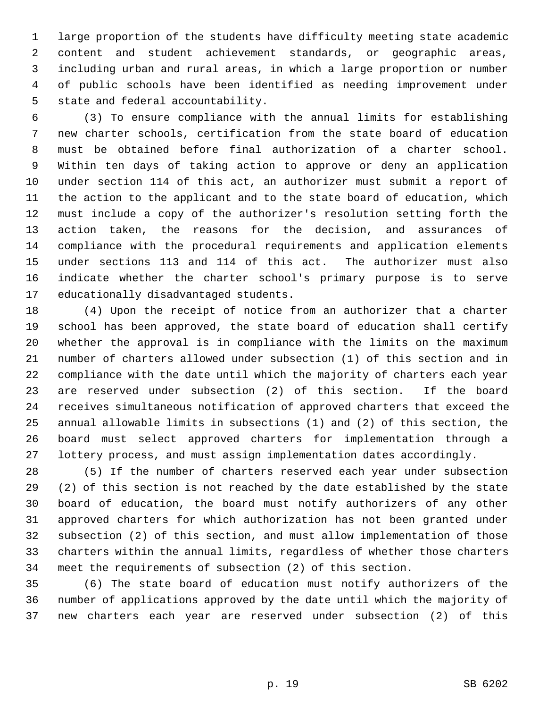1 large proportion of the students have difficulty meeting state academic 2 content and student achievement standards, or geographic areas, 3 including urban and rural areas, in which a large proportion or number 4 of public schools have been identified as needing improvement under 5 state and federal accountability.

 6 (3) To ensure compliance with the annual limits for establishing 7 new charter schools, certification from the state board of education 8 must be obtained before final authorization of a charter school. 9 Within ten days of taking action to approve or deny an application 10 under section 114 of this act, an authorizer must submit a report of 11 the action to the applicant and to the state board of education, which 12 must include a copy of the authorizer's resolution setting forth the 13 action taken, the reasons for the decision, and assurances of 14 compliance with the procedural requirements and application elements 15 under sections 113 and 114 of this act. The authorizer must also 16 indicate whether the charter school's primary purpose is to serve 17 educationally disadvantaged students.

18 (4) Upon the receipt of notice from an authorizer that a charter 19 school has been approved, the state board of education shall certify 20 whether the approval is in compliance with the limits on the maximum 21 number of charters allowed under subsection (1) of this section and in 22 compliance with the date until which the majority of charters each year 23 are reserved under subsection (2) of this section. If the board 24 receives simultaneous notification of approved charters that exceed the 25 annual allowable limits in subsections (1) and (2) of this section, the 26 board must select approved charters for implementation through a 27 lottery process, and must assign implementation dates accordingly.

28 (5) If the number of charters reserved each year under subsection 29 (2) of this section is not reached by the date established by the state 30 board of education, the board must notify authorizers of any other 31 approved charters for which authorization has not been granted under 32 subsection (2) of this section, and must allow implementation of those 33 charters within the annual limits, regardless of whether those charters 34 meet the requirements of subsection (2) of this section.

35 (6) The state board of education must notify authorizers of the 36 number of applications approved by the date until which the majority of 37 new charters each year are reserved under subsection (2) of this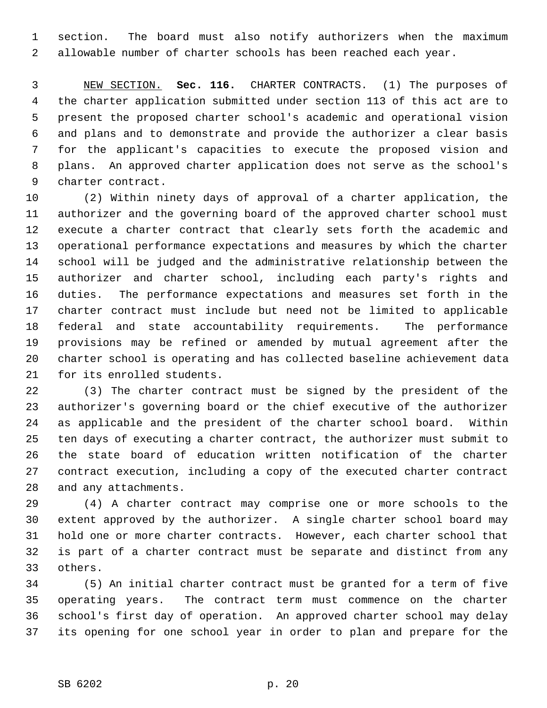1 section. The board must also notify authorizers when the maximum 2 allowable number of charter schools has been reached each year.

 3 NEW SECTION. **Sec. 116.** CHARTER CONTRACTS. (1) The purposes of 4 the charter application submitted under section 113 of this act are to 5 present the proposed charter school's academic and operational vision 6 and plans and to demonstrate and provide the authorizer a clear basis 7 for the applicant's capacities to execute the proposed vision and 8 plans. An approved charter application does not serve as the school's 9 charter contract.

10 (2) Within ninety days of approval of a charter application, the 11 authorizer and the governing board of the approved charter school must 12 execute a charter contract that clearly sets forth the academic and 13 operational performance expectations and measures by which the charter 14 school will be judged and the administrative relationship between the 15 authorizer and charter school, including each party's rights and 16 duties. The performance expectations and measures set forth in the 17 charter contract must include but need not be limited to applicable 18 federal and state accountability requirements. The performance 19 provisions may be refined or amended by mutual agreement after the 20 charter school is operating and has collected baseline achievement data 21 for its enrolled students.

22 (3) The charter contract must be signed by the president of the 23 authorizer's governing board or the chief executive of the authorizer 24 as applicable and the president of the charter school board. Within 25 ten days of executing a charter contract, the authorizer must submit to 26 the state board of education written notification of the charter 27 contract execution, including a copy of the executed charter contract 28 and any attachments.

29 (4) A charter contract may comprise one or more schools to the 30 extent approved by the authorizer. A single charter school board may 31 hold one or more charter contracts. However, each charter school that 32 is part of a charter contract must be separate and distinct from any 33 others.

34 (5) An initial charter contract must be granted for a term of five 35 operating years. The contract term must commence on the charter 36 school's first day of operation. An approved charter school may delay 37 its opening for one school year in order to plan and prepare for the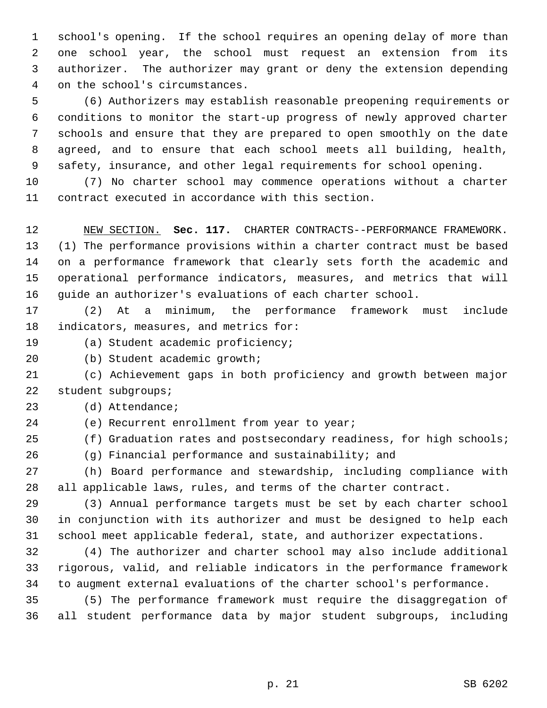1 school's opening. If the school requires an opening delay of more than 2 one school year, the school must request an extension from its 3 authorizer. The authorizer may grant or deny the extension depending 4 on the school's circumstances.

 5 (6) Authorizers may establish reasonable preopening requirements or 6 conditions to monitor the start-up progress of newly approved charter 7 schools and ensure that they are prepared to open smoothly on the date 8 agreed, and to ensure that each school meets all building, health, 9 safety, insurance, and other legal requirements for school opening.

10 (7) No charter school may commence operations without a charter 11 contract executed in accordance with this section.

12 NEW SECTION. **Sec. 117.** CHARTER CONTRACTS--PERFORMANCE FRAMEWORK. 13 (1) The performance provisions within a charter contract must be based 14 on a performance framework that clearly sets forth the academic and 15 operational performance indicators, measures, and metrics that will 16 guide an authorizer's evaluations of each charter school.

17 (2) At a minimum, the performance framework must include 18 indicators, measures, and metrics for:

19 (a) Student academic proficiency;

20 (b) Student academic growth;

21 (c) Achievement gaps in both proficiency and growth between major 22 student subgroups;

23 (d) Attendance;

24 (e) Recurrent enrollment from year to year;

25 (f) Graduation rates and postsecondary readiness, for high schools;

26 (g) Financial performance and sustainability; and

27 (h) Board performance and stewardship, including compliance with 28 all applicable laws, rules, and terms of the charter contract.

29 (3) Annual performance targets must be set by each charter school 30 in conjunction with its authorizer and must be designed to help each 31 school meet applicable federal, state, and authorizer expectations.

32 (4) The authorizer and charter school may also include additional 33 rigorous, valid, and reliable indicators in the performance framework 34 to augment external evaluations of the charter school's performance.

35 (5) The performance framework must require the disaggregation of 36 all student performance data by major student subgroups, including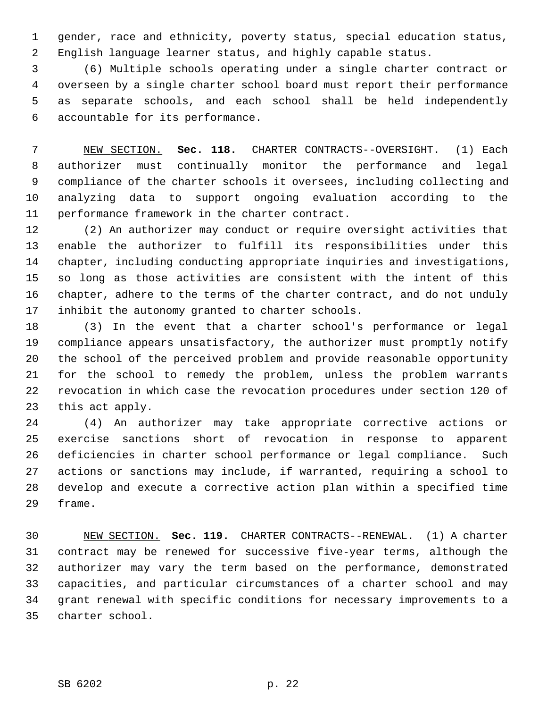1 gender, race and ethnicity, poverty status, special education status, 2 English language learner status, and highly capable status.

 3 (6) Multiple schools operating under a single charter contract or 4 overseen by a single charter school board must report their performance 5 as separate schools, and each school shall be held independently 6 accountable for its performance.

 7 NEW SECTION. **Sec. 118.** CHARTER CONTRACTS--OVERSIGHT. (1) Each 8 authorizer must continually monitor the performance and legal 9 compliance of the charter schools it oversees, including collecting and 10 analyzing data to support ongoing evaluation according to the 11 performance framework in the charter contract.

12 (2) An authorizer may conduct or require oversight activities that 13 enable the authorizer to fulfill its responsibilities under this 14 chapter, including conducting appropriate inquiries and investigations, 15 so long as those activities are consistent with the intent of this 16 chapter, adhere to the terms of the charter contract, and do not unduly 17 inhibit the autonomy granted to charter schools.

18 (3) In the event that a charter school's performance or legal 19 compliance appears unsatisfactory, the authorizer must promptly notify 20 the school of the perceived problem and provide reasonable opportunity 21 for the school to remedy the problem, unless the problem warrants 22 revocation in which case the revocation procedures under section 120 of 23 this act apply.

24 (4) An authorizer may take appropriate corrective actions or 25 exercise sanctions short of revocation in response to apparent 26 deficiencies in charter school performance or legal compliance. Such 27 actions or sanctions may include, if warranted, requiring a school to 28 develop and execute a corrective action plan within a specified time 29 frame.

30 NEW SECTION. **Sec. 119.** CHARTER CONTRACTS--RENEWAL. (1) A charter 31 contract may be renewed for successive five-year terms, although the 32 authorizer may vary the term based on the performance, demonstrated 33 capacities, and particular circumstances of a charter school and may 34 grant renewal with specific conditions for necessary improvements to a 35 charter school.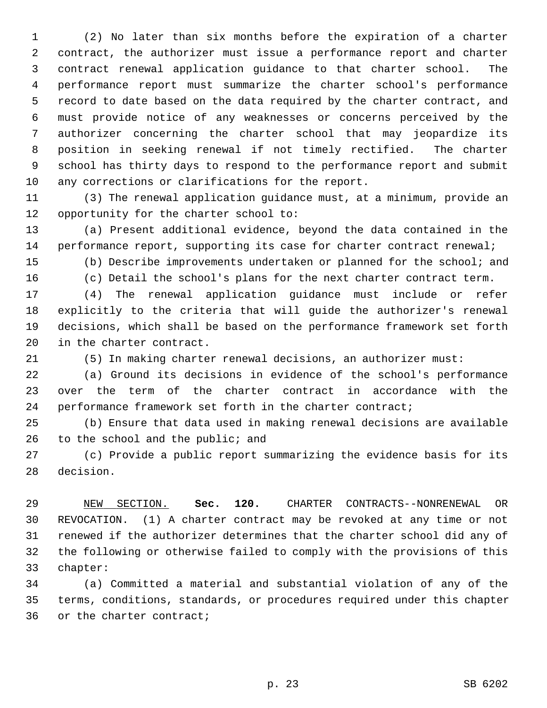1 (2) No later than six months before the expiration of a charter 2 contract, the authorizer must issue a performance report and charter 3 contract renewal application guidance to that charter school. The 4 performance report must summarize the charter school's performance 5 record to date based on the data required by the charter contract, and 6 must provide notice of any weaknesses or concerns perceived by the 7 authorizer concerning the charter school that may jeopardize its 8 position in seeking renewal if not timely rectified. The charter 9 school has thirty days to respond to the performance report and submit 10 any corrections or clarifications for the report.

11 (3) The renewal application guidance must, at a minimum, provide an 12 opportunity for the charter school to:

13 (a) Present additional evidence, beyond the data contained in the 14 performance report, supporting its case for charter contract renewal;

15 (b) Describe improvements undertaken or planned for the school; and

16 (c) Detail the school's plans for the next charter contract term.

17 (4) The renewal application guidance must include or refer 18 explicitly to the criteria that will guide the authorizer's renewal 19 decisions, which shall be based on the performance framework set forth 20 in the charter contract.

21 (5) In making charter renewal decisions, an authorizer must:

22 (a) Ground its decisions in evidence of the school's performance 23 over the term of the charter contract in accordance with the 24 performance framework set forth in the charter contract;

25 (b) Ensure that data used in making renewal decisions are available 26 to the school and the public; and

27 (c) Provide a public report summarizing the evidence basis for its 28 decision.

29 NEW SECTION. **Sec. 120.** CHARTER CONTRACTS--NONRENEWAL OR 30 REVOCATION. (1) A charter contract may be revoked at any time or not 31 renewed if the authorizer determines that the charter school did any of 32 the following or otherwise failed to comply with the provisions of this 33 chapter:

34 (a) Committed a material and substantial violation of any of the 35 terms, conditions, standards, or procedures required under this chapter 36 or the charter contract;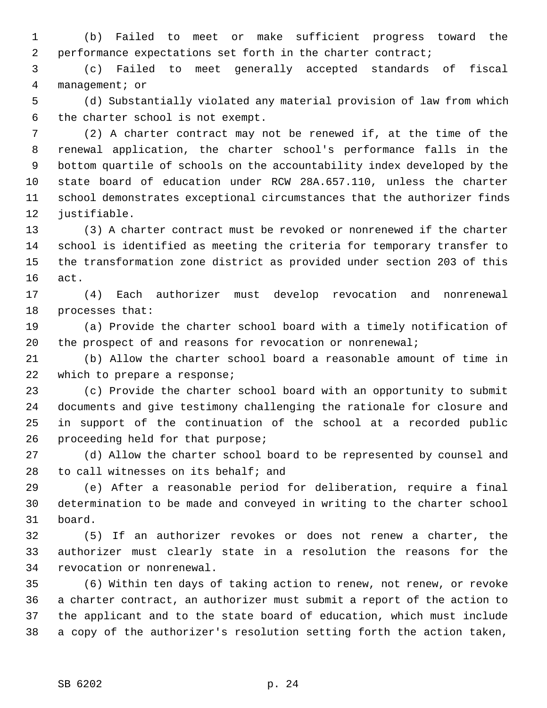1 (b) Failed to meet or make sufficient progress toward the 2 performance expectations set forth in the charter contract;

 3 (c) Failed to meet generally accepted standards of fiscal 4 management; or

 5 (d) Substantially violated any material provision of law from which 6 the charter school is not exempt.

 7 (2) A charter contract may not be renewed if, at the time of the 8 renewal application, the charter school's performance falls in the 9 bottom quartile of schools on the accountability index developed by the 10 state board of education under RCW 28A.657.110, unless the charter 11 school demonstrates exceptional circumstances that the authorizer finds 12 justifiable.

13 (3) A charter contract must be revoked or nonrenewed if the charter 14 school is identified as meeting the criteria for temporary transfer to 15 the transformation zone district as provided under section 203 of this 16 act.

17 (4) Each authorizer must develop revocation and nonrenewal 18 processes that:

19 (a) Provide the charter school board with a timely notification of 20 the prospect of and reasons for revocation or nonrenewal;

21 (b) Allow the charter school board a reasonable amount of time in 22 which to prepare a response;

23 (c) Provide the charter school board with an opportunity to submit 24 documents and give testimony challenging the rationale for closure and 25 in support of the continuation of the school at a recorded public 26 proceeding held for that purpose;

27 (d) Allow the charter school board to be represented by counsel and 28 to call witnesses on its behalf; and

29 (e) After a reasonable period for deliberation, require a final 30 determination to be made and conveyed in writing to the charter school 31 board.

32 (5) If an authorizer revokes or does not renew a charter, the 33 authorizer must clearly state in a resolution the reasons for the 34 revocation or nonrenewal.

35 (6) Within ten days of taking action to renew, not renew, or revoke 36 a charter contract, an authorizer must submit a report of the action to 37 the applicant and to the state board of education, which must include 38 a copy of the authorizer's resolution setting forth the action taken,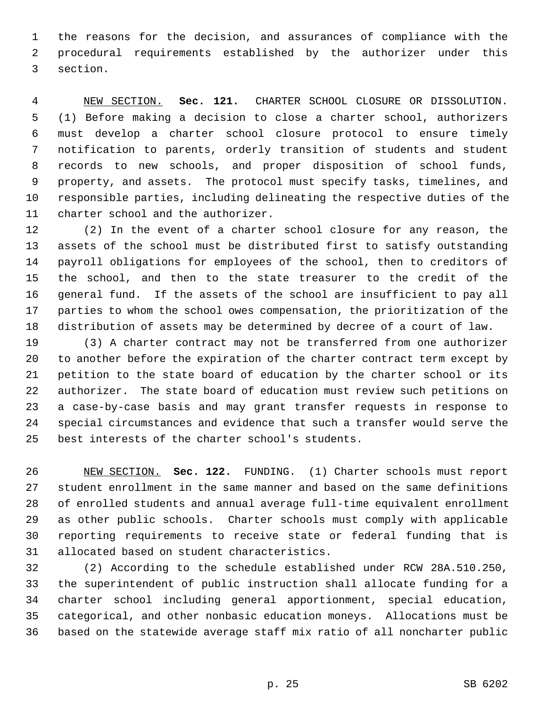1 the reasons for the decision, and assurances of compliance with the 2 procedural requirements established by the authorizer under this 3 section.

 4 NEW SECTION. **Sec. 121.** CHARTER SCHOOL CLOSURE OR DISSOLUTION. 5 (1) Before making a decision to close a charter school, authorizers 6 must develop a charter school closure protocol to ensure timely 7 notification to parents, orderly transition of students and student 8 records to new schools, and proper disposition of school funds, 9 property, and assets. The protocol must specify tasks, timelines, and 10 responsible parties, including delineating the respective duties of the 11 charter school and the authorizer.

12 (2) In the event of a charter school closure for any reason, the 13 assets of the school must be distributed first to satisfy outstanding 14 payroll obligations for employees of the school, then to creditors of 15 the school, and then to the state treasurer to the credit of the 16 general fund. If the assets of the school are insufficient to pay all 17 parties to whom the school owes compensation, the prioritization of the 18 distribution of assets may be determined by decree of a court of law.

19 (3) A charter contract may not be transferred from one authorizer 20 to another before the expiration of the charter contract term except by 21 petition to the state board of education by the charter school or its 22 authorizer. The state board of education must review such petitions on 23 a case-by-case basis and may grant transfer requests in response to 24 special circumstances and evidence that such a transfer would serve the 25 best interests of the charter school's students.

26 NEW SECTION. **Sec. 122.** FUNDING. (1) Charter schools must report 27 student enrollment in the same manner and based on the same definitions 28 of enrolled students and annual average full-time equivalent enrollment 29 as other public schools. Charter schools must comply with applicable 30 reporting requirements to receive state or federal funding that is 31 allocated based on student characteristics.

32 (2) According to the schedule established under RCW 28A.510.250, 33 the superintendent of public instruction shall allocate funding for a 34 charter school including general apportionment, special education, 35 categorical, and other nonbasic education moneys. Allocations must be 36 based on the statewide average staff mix ratio of all noncharter public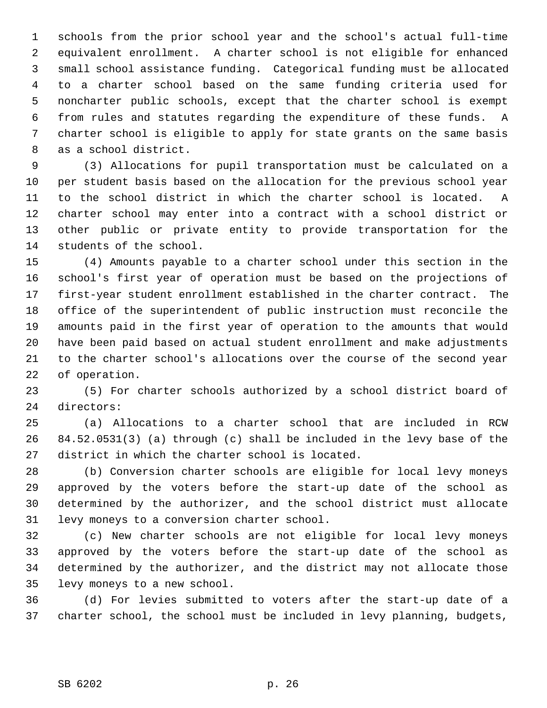1 schools from the prior school year and the school's actual full-time 2 equivalent enrollment. A charter school is not eligible for enhanced 3 small school assistance funding. Categorical funding must be allocated 4 to a charter school based on the same funding criteria used for 5 noncharter public schools, except that the charter school is exempt 6 from rules and statutes regarding the expenditure of these funds. A 7 charter school is eligible to apply for state grants on the same basis 8 as a school district.

 9 (3) Allocations for pupil transportation must be calculated on a 10 per student basis based on the allocation for the previous school year 11 to the school district in which the charter school is located. A 12 charter school may enter into a contract with a school district or 13 other public or private entity to provide transportation for the 14 students of the school.

15 (4) Amounts payable to a charter school under this section in the 16 school's first year of operation must be based on the projections of 17 first-year student enrollment established in the charter contract. The 18 office of the superintendent of public instruction must reconcile the 19 amounts paid in the first year of operation to the amounts that would 20 have been paid based on actual student enrollment and make adjustments 21 to the charter school's allocations over the course of the second year 22 of operation.

23 (5) For charter schools authorized by a school district board of 24 directors:

25 (a) Allocations to a charter school that are included in RCW 26 84.52.0531(3) (a) through (c) shall be included in the levy base of the 27 district in which the charter school is located.

28 (b) Conversion charter schools are eligible for local levy moneys 29 approved by the voters before the start-up date of the school as 30 determined by the authorizer, and the school district must allocate 31 levy moneys to a conversion charter school.

32 (c) New charter schools are not eligible for local levy moneys 33 approved by the voters before the start-up date of the school as 34 determined by the authorizer, and the district may not allocate those 35 levy moneys to a new school.

36 (d) For levies submitted to voters after the start-up date of a 37 charter school, the school must be included in levy planning, budgets,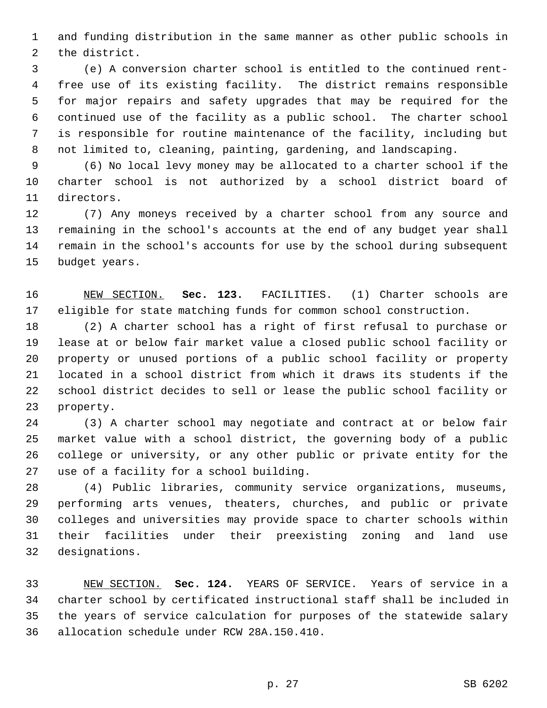1 and funding distribution in the same manner as other public schools in 2 the district.

 3 (e) A conversion charter school is entitled to the continued rent- 4 free use of its existing facility. The district remains responsible 5 for major repairs and safety upgrades that may be required for the 6 continued use of the facility as a public school. The charter school 7 is responsible for routine maintenance of the facility, including but 8 not limited to, cleaning, painting, gardening, and landscaping.

 9 (6) No local levy money may be allocated to a charter school if the 10 charter school is not authorized by a school district board of 11 directors.

12 (7) Any moneys received by a charter school from any source and 13 remaining in the school's accounts at the end of any budget year shall 14 remain in the school's accounts for use by the school during subsequent 15 budget years.

16 NEW SECTION. **Sec. 123.** FACILITIES. (1) Charter schools are 17 eligible for state matching funds for common school construction.

18 (2) A charter school has a right of first refusal to purchase or 19 lease at or below fair market value a closed public school facility or 20 property or unused portions of a public school facility or property 21 located in a school district from which it draws its students if the 22 school district decides to sell or lease the public school facility or 23 property.

24 (3) A charter school may negotiate and contract at or below fair 25 market value with a school district, the governing body of a public 26 college or university, or any other public or private entity for the 27 use of a facility for a school building.

28 (4) Public libraries, community service organizations, museums, 29 performing arts venues, theaters, churches, and public or private 30 colleges and universities may provide space to charter schools within 31 their facilities under their preexisting zoning and land use 32 designations.

33 NEW SECTION. **Sec. 124.** YEARS OF SERVICE. Years of service in a 34 charter school by certificated instructional staff shall be included in 35 the years of service calculation for purposes of the statewide salary 36 allocation schedule under RCW 28A.150.410.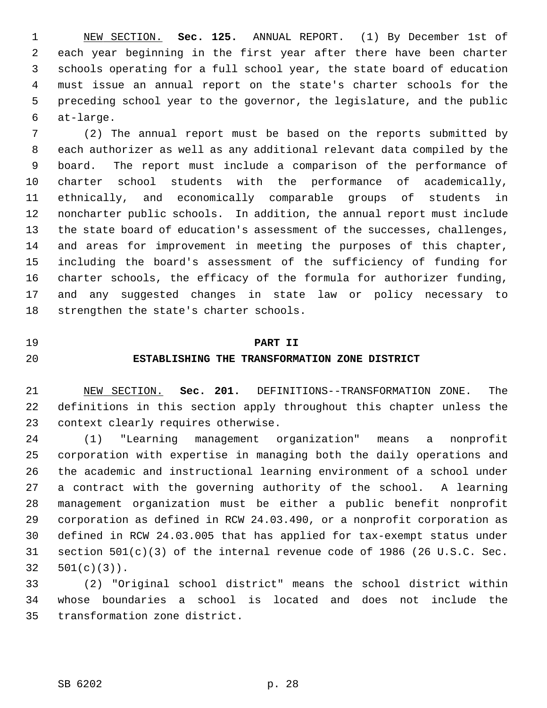1 NEW SECTION. **Sec. 125.** ANNUAL REPORT. (1) By December 1st of 2 each year beginning in the first year after there have been charter 3 schools operating for a full school year, the state board of education 4 must issue an annual report on the state's charter schools for the 5 preceding school year to the governor, the legislature, and the public 6 at-large.

 7 (2) The annual report must be based on the reports submitted by 8 each authorizer as well as any additional relevant data compiled by the 9 board. The report must include a comparison of the performance of 10 charter school students with the performance of academically, 11 ethnically, and economically comparable groups of students in 12 noncharter public schools. In addition, the annual report must include 13 the state board of education's assessment of the successes, challenges, 14 and areas for improvement in meeting the purposes of this chapter, 15 including the board's assessment of the sufficiency of funding for 16 charter schools, the efficacy of the formula for authorizer funding, 17 and any suggested changes in state law or policy necessary to 18 strengthen the state's charter schools.

## 19 **PART II**

#### 20 **ESTABLISHING THE TRANSFORMATION ZONE DISTRICT**

21 NEW SECTION. **Sec. 201.** DEFINITIONS--TRANSFORMATION ZONE. The 22 definitions in this section apply throughout this chapter unless the 23 context clearly requires otherwise.

24 (1) "Learning management organization" means a nonprofit 25 corporation with expertise in managing both the daily operations and 26 the academic and instructional learning environment of a school under 27 a contract with the governing authority of the school. A learning 28 management organization must be either a public benefit nonprofit 29 corporation as defined in RCW 24.03.490, or a nonprofit corporation as 30 defined in RCW 24.03.005 that has applied for tax-exempt status under 31 section 501(c)(3) of the internal revenue code of 1986 (26 U.S.C. Sec. 32 501(c)(3)).

33 (2) "Original school district" means the school district within 34 whose boundaries a school is located and does not include the 35 transformation zone district.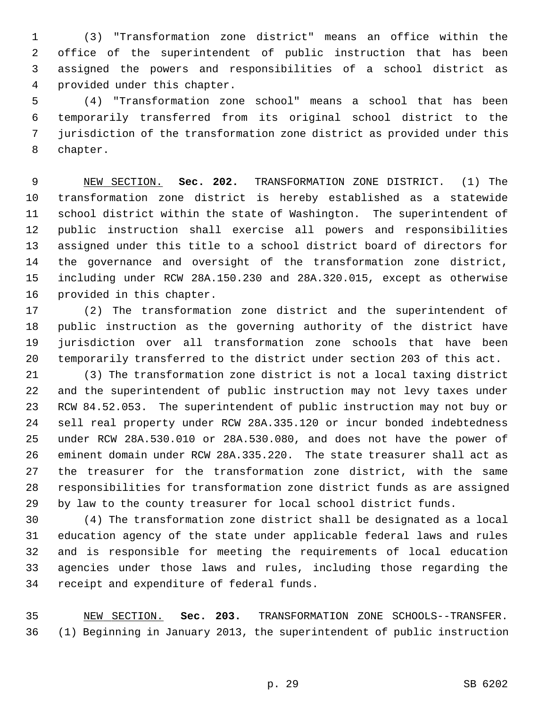1 (3) "Transformation zone district" means an office within the 2 office of the superintendent of public instruction that has been 3 assigned the powers and responsibilities of a school district as 4 provided under this chapter.

 5 (4) "Transformation zone school" means a school that has been 6 temporarily transferred from its original school district to the 7 jurisdiction of the transformation zone district as provided under this 8 chapter.

 9 NEW SECTION. **Sec. 202.** TRANSFORMATION ZONE DISTRICT. (1) The 10 transformation zone district is hereby established as a statewide 11 school district within the state of Washington. The superintendent of 12 public instruction shall exercise all powers and responsibilities 13 assigned under this title to a school district board of directors for 14 the governance and oversight of the transformation zone district, 15 including under RCW 28A.150.230 and 28A.320.015, except as otherwise 16 provided in this chapter.

17 (2) The transformation zone district and the superintendent of 18 public instruction as the governing authority of the district have 19 jurisdiction over all transformation zone schools that have been 20 temporarily transferred to the district under section 203 of this act.

21 (3) The transformation zone district is not a local taxing district 22 and the superintendent of public instruction may not levy taxes under 23 RCW 84.52.053. The superintendent of public instruction may not buy or 24 sell real property under RCW 28A.335.120 or incur bonded indebtedness 25 under RCW 28A.530.010 or 28A.530.080, and does not have the power of 26 eminent domain under RCW 28A.335.220. The state treasurer shall act as 27 the treasurer for the transformation zone district, with the same 28 responsibilities for transformation zone district funds as are assigned 29 by law to the county treasurer for local school district funds.

30 (4) The transformation zone district shall be designated as a local 31 education agency of the state under applicable federal laws and rules 32 and is responsible for meeting the requirements of local education 33 agencies under those laws and rules, including those regarding the 34 receipt and expenditure of federal funds.

35 NEW SECTION. **Sec. 203.** TRANSFORMATION ZONE SCHOOLS--TRANSFER. 36 (1) Beginning in January 2013, the superintendent of public instruction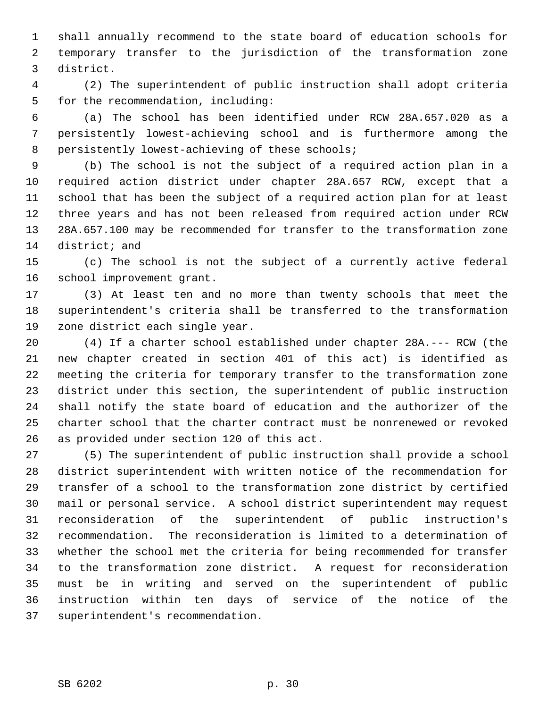1 shall annually recommend to the state board of education schools for 2 temporary transfer to the jurisdiction of the transformation zone 3 district.

 4 (2) The superintendent of public instruction shall adopt criteria 5 for the recommendation, including:

 6 (a) The school has been identified under RCW 28A.657.020 as a 7 persistently lowest-achieving school and is furthermore among the 8 persistently lowest-achieving of these schools;

 9 (b) The school is not the subject of a required action plan in a 10 required action district under chapter 28A.657 RCW, except that a 11 school that has been the subject of a required action plan for at least 12 three years and has not been released from required action under RCW 13 28A.657.100 may be recommended for transfer to the transformation zone 14 district; and

15 (c) The school is not the subject of a currently active federal 16 school improvement grant.

17 (3) At least ten and no more than twenty schools that meet the 18 superintendent's criteria shall be transferred to the transformation 19 zone district each single year.

20 (4) If a charter school established under chapter 28A.--- RCW (the 21 new chapter created in section 401 of this act) is identified as 22 meeting the criteria for temporary transfer to the transformation zone 23 district under this section, the superintendent of public instruction 24 shall notify the state board of education and the authorizer of the 25 charter school that the charter contract must be nonrenewed or revoked 26 as provided under section 120 of this act.

27 (5) The superintendent of public instruction shall provide a school 28 district superintendent with written notice of the recommendation for 29 transfer of a school to the transformation zone district by certified 30 mail or personal service. A school district superintendent may request 31 reconsideration of the superintendent of public instruction's 32 recommendation. The reconsideration is limited to a determination of 33 whether the school met the criteria for being recommended for transfer 34 to the transformation zone district. A request for reconsideration 35 must be in writing and served on the superintendent of public 36 instruction within ten days of service of the notice of the 37 superintendent's recommendation.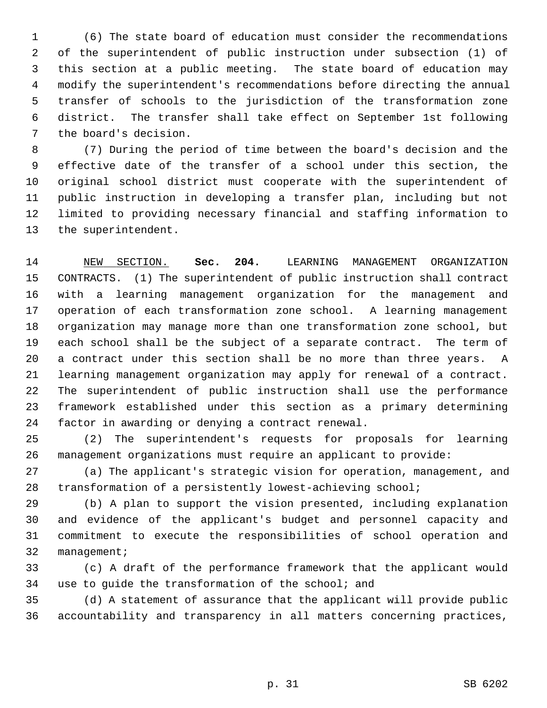1 (6) The state board of education must consider the recommendations 2 of the superintendent of public instruction under subsection (1) of 3 this section at a public meeting. The state board of education may 4 modify the superintendent's recommendations before directing the annual 5 transfer of schools to the jurisdiction of the transformation zone 6 district. The transfer shall take effect on September 1st following 7 the board's decision.

 8 (7) During the period of time between the board's decision and the 9 effective date of the transfer of a school under this section, the 10 original school district must cooperate with the superintendent of 11 public instruction in developing a transfer plan, including but not 12 limited to providing necessary financial and staffing information to 13 the superintendent.

14 NEW SECTION. **Sec. 204.** LEARNING MANAGEMENT ORGANIZATION 15 CONTRACTS. (1) The superintendent of public instruction shall contract 16 with a learning management organization for the management and 17 operation of each transformation zone school. A learning management 18 organization may manage more than one transformation zone school, but 19 each school shall be the subject of a separate contract. The term of 20 a contract under this section shall be no more than three years. A 21 learning management organization may apply for renewal of a contract. 22 The superintendent of public instruction shall use the performance 23 framework established under this section as a primary determining 24 factor in awarding or denying a contract renewal.

25 (2) The superintendent's requests for proposals for learning 26 management organizations must require an applicant to provide:

27 (a) The applicant's strategic vision for operation, management, and 28 transformation of a persistently lowest-achieving school;

29 (b) A plan to support the vision presented, including explanation 30 and evidence of the applicant's budget and personnel capacity and 31 commitment to execute the responsibilities of school operation and 32 management;

33 (c) A draft of the performance framework that the applicant would 34 use to guide the transformation of the school; and

35 (d) A statement of assurance that the applicant will provide public 36 accountability and transparency in all matters concerning practices,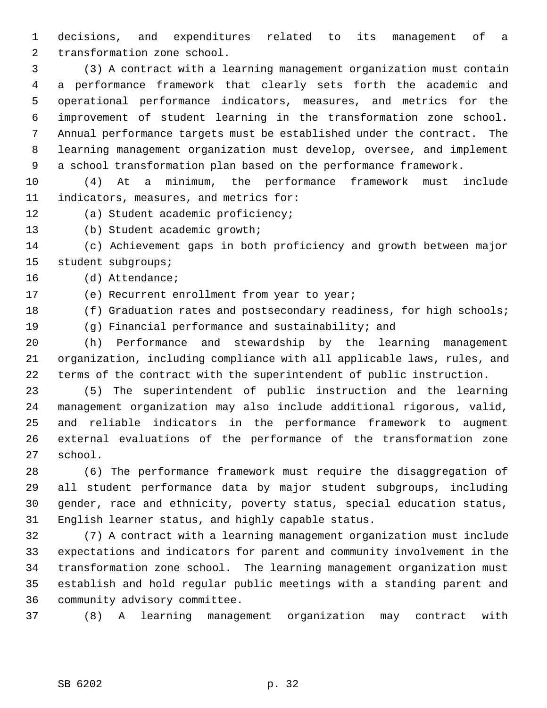1 decisions, and expenditures related to its management of a 2 transformation zone school.

 3 (3) A contract with a learning management organization must contain 4 a performance framework that clearly sets forth the academic and 5 operational performance indicators, measures, and metrics for the 6 improvement of student learning in the transformation zone school. 7 Annual performance targets must be established under the contract. The 8 learning management organization must develop, oversee, and implement 9 a school transformation plan based on the performance framework.

10 (4) At a minimum, the performance framework must include 11 indicators, measures, and metrics for:

- 12 (a) Student academic proficiency;
- 13 (b) Student academic growth;

14 (c) Achievement gaps in both proficiency and growth between major 15 student subgroups;

16 (d) Attendance;

17 (e) Recurrent enrollment from year to year;

18 (f) Graduation rates and postsecondary readiness, for high schools;

19 (g) Financial performance and sustainability; and

20 (h) Performance and stewardship by the learning management 21 organization, including compliance with all applicable laws, rules, and 22 terms of the contract with the superintendent of public instruction.

23 (5) The superintendent of public instruction and the learning 24 management organization may also include additional rigorous, valid, 25 and reliable indicators in the performance framework to augment 26 external evaluations of the performance of the transformation zone 27 school.

28 (6) The performance framework must require the disaggregation of 29 all student performance data by major student subgroups, including 30 gender, race and ethnicity, poverty status, special education status, 31 English learner status, and highly capable status.

32 (7) A contract with a learning management organization must include 33 expectations and indicators for parent and community involvement in the 34 transformation zone school. The learning management organization must 35 establish and hold regular public meetings with a standing parent and 36 community advisory committee.

37 (8) A learning management organization may contract with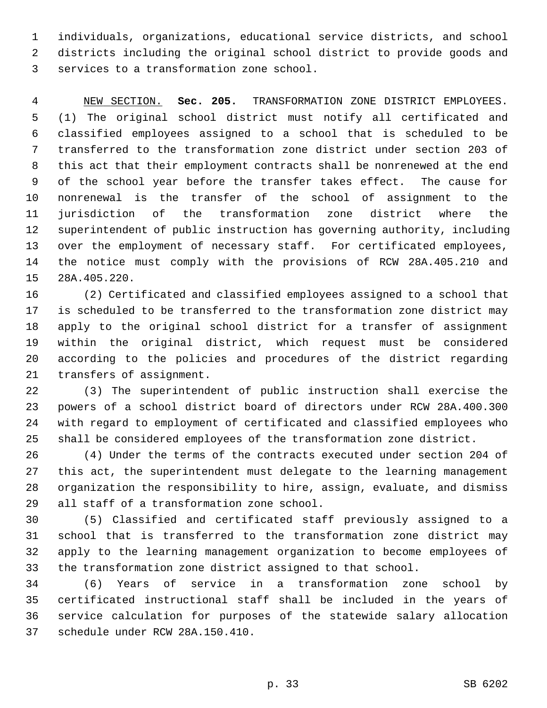1 individuals, organizations, educational service districts, and school 2 districts including the original school district to provide goods and 3 services to a transformation zone school.

 4 NEW SECTION. **Sec. 205.** TRANSFORMATION ZONE DISTRICT EMPLOYEES. 5 (1) The original school district must notify all certificated and 6 classified employees assigned to a school that is scheduled to be 7 transferred to the transformation zone district under section 203 of 8 this act that their employment contracts shall be nonrenewed at the end 9 of the school year before the transfer takes effect. The cause for 10 nonrenewal is the transfer of the school of assignment to the 11 jurisdiction of the transformation zone district where the 12 superintendent of public instruction has governing authority, including 13 over the employment of necessary staff. For certificated employees, 14 the notice must comply with the provisions of RCW 28A.405.210 and 15 28A.405.220.

16 (2) Certificated and classified employees assigned to a school that 17 is scheduled to be transferred to the transformation zone district may 18 apply to the original school district for a transfer of assignment 19 within the original district, which request must be considered 20 according to the policies and procedures of the district regarding 21 transfers of assignment.

22 (3) The superintendent of public instruction shall exercise the 23 powers of a school district board of directors under RCW 28A.400.300 24 with regard to employment of certificated and classified employees who 25 shall be considered employees of the transformation zone district.

26 (4) Under the terms of the contracts executed under section 204 of 27 this act, the superintendent must delegate to the learning management 28 organization the responsibility to hire, assign, evaluate, and dismiss 29 all staff of a transformation zone school.

30 (5) Classified and certificated staff previously assigned to a 31 school that is transferred to the transformation zone district may 32 apply to the learning management organization to become employees of 33 the transformation zone district assigned to that school.

34 (6) Years of service in a transformation zone school by 35 certificated instructional staff shall be included in the years of 36 service calculation for purposes of the statewide salary allocation 37 schedule under RCW 28A.150.410.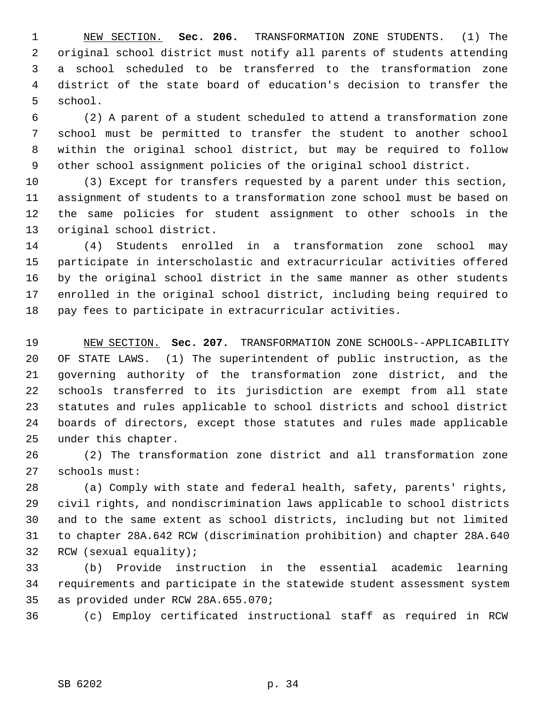1 NEW SECTION. **Sec. 206.** TRANSFORMATION ZONE STUDENTS. (1) The 2 original school district must notify all parents of students attending 3 a school scheduled to be transferred to the transformation zone 4 district of the state board of education's decision to transfer the 5 school.

 6 (2) A parent of a student scheduled to attend a transformation zone 7 school must be permitted to transfer the student to another school 8 within the original school district, but may be required to follow 9 other school assignment policies of the original school district.

10 (3) Except for transfers requested by a parent under this section, 11 assignment of students to a transformation zone school must be based on 12 the same policies for student assignment to other schools in the 13 original school district.

14 (4) Students enrolled in a transformation zone school may 15 participate in interscholastic and extracurricular activities offered 16 by the original school district in the same manner as other students 17 enrolled in the original school district, including being required to 18 pay fees to participate in extracurricular activities.

19 NEW SECTION. **Sec. 207.** TRANSFORMATION ZONE SCHOOLS--APPLICABILITY 20 OF STATE LAWS. (1) The superintendent of public instruction, as the 21 governing authority of the transformation zone district, and the 22 schools transferred to its jurisdiction are exempt from all state 23 statutes and rules applicable to school districts and school district 24 boards of directors, except those statutes and rules made applicable 25 under this chapter.

26 (2) The transformation zone district and all transformation zone 27 schools must:

28 (a) Comply with state and federal health, safety, parents' rights, 29 civil rights, and nondiscrimination laws applicable to school districts 30 and to the same extent as school districts, including but not limited 31 to chapter 28A.642 RCW (discrimination prohibition) and chapter 28A.640 32 RCW (sexual equality);

33 (b) Provide instruction in the essential academic learning 34 requirements and participate in the statewide student assessment system 35 as provided under RCW 28A.655.070;

36 (c) Employ certificated instructional staff as required in RCW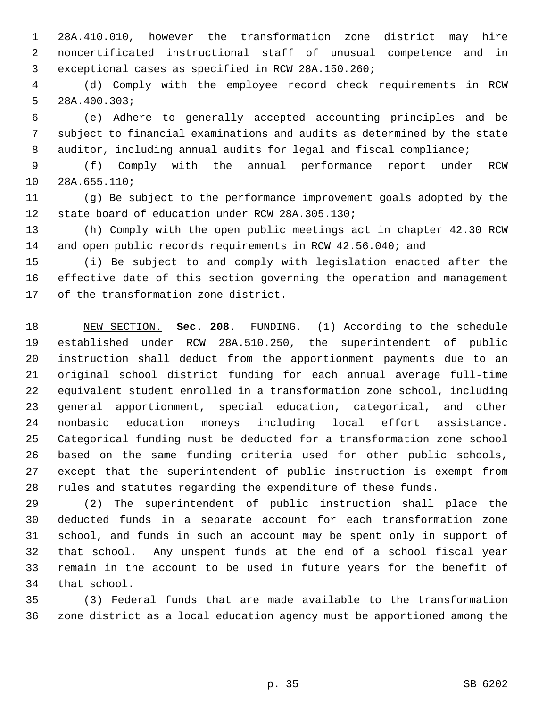1 28A.410.010, however the transformation zone district may hire 2 noncertificated instructional staff of unusual competence and in 3 exceptional cases as specified in RCW 28A.150.260;

 4 (d) Comply with the employee record check requirements in RCW 5 28A.400.303;

 6 (e) Adhere to generally accepted accounting principles and be 7 subject to financial examinations and audits as determined by the state 8 auditor, including annual audits for legal and fiscal compliance;

 9 (f) Comply with the annual performance report under RCW 10 28A.655.110;

11 (g) Be subject to the performance improvement goals adopted by the 12 state board of education under RCW 28A.305.130;

13 (h) Comply with the open public meetings act in chapter 42.30 RCW 14 and open public records requirements in RCW 42.56.040; and

15 (i) Be subject to and comply with legislation enacted after the 16 effective date of this section governing the operation and management 17 of the transformation zone district.

18 NEW SECTION. **Sec. 208.** FUNDING. (1) According to the schedule 19 established under RCW 28A.510.250, the superintendent of public 20 instruction shall deduct from the apportionment payments due to an 21 original school district funding for each annual average full-time 22 equivalent student enrolled in a transformation zone school, including 23 general apportionment, special education, categorical, and other 24 nonbasic education moneys including local effort assistance. 25 Categorical funding must be deducted for a transformation zone school 26 based on the same funding criteria used for other public schools, 27 except that the superintendent of public instruction is exempt from 28 rules and statutes regarding the expenditure of these funds.

29 (2) The superintendent of public instruction shall place the 30 deducted funds in a separate account for each transformation zone 31 school, and funds in such an account may be spent only in support of 32 that school. Any unspent funds at the end of a school fiscal year 33 remain in the account to be used in future years for the benefit of 34 that school.

35 (3) Federal funds that are made available to the transformation 36 zone district as a local education agency must be apportioned among the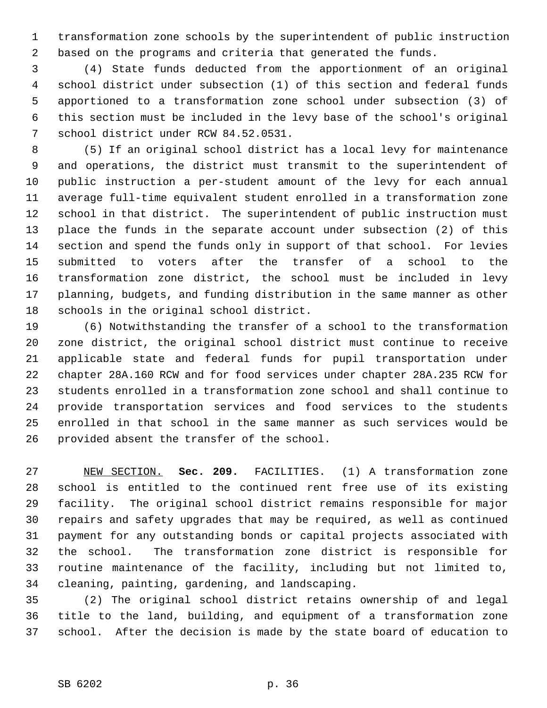1 transformation zone schools by the superintendent of public instruction 2 based on the programs and criteria that generated the funds.

 3 (4) State funds deducted from the apportionment of an original 4 school district under subsection (1) of this section and federal funds 5 apportioned to a transformation zone school under subsection (3) of 6 this section must be included in the levy base of the school's original 7 school district under RCW 84.52.0531.

 8 (5) If an original school district has a local levy for maintenance 9 and operations, the district must transmit to the superintendent of 10 public instruction a per-student amount of the levy for each annual 11 average full-time equivalent student enrolled in a transformation zone 12 school in that district. The superintendent of public instruction must 13 place the funds in the separate account under subsection (2) of this 14 section and spend the funds only in support of that school. For levies 15 submitted to voters after the transfer of a school to the 16 transformation zone district, the school must be included in levy 17 planning, budgets, and funding distribution in the same manner as other 18 schools in the original school district.

19 (6) Notwithstanding the transfer of a school to the transformation 20 zone district, the original school district must continue to receive 21 applicable state and federal funds for pupil transportation under 22 chapter 28A.160 RCW and for food services under chapter 28A.235 RCW for 23 students enrolled in a transformation zone school and shall continue to 24 provide transportation services and food services to the students 25 enrolled in that school in the same manner as such services would be 26 provided absent the transfer of the school.

27 NEW SECTION. **Sec. 209.** FACILITIES. (1) A transformation zone 28 school is entitled to the continued rent free use of its existing 29 facility. The original school district remains responsible for major 30 repairs and safety upgrades that may be required, as well as continued 31 payment for any outstanding bonds or capital projects associated with 32 the school. The transformation zone district is responsible for 33 routine maintenance of the facility, including but not limited to, 34 cleaning, painting, gardening, and landscaping.

35 (2) The original school district retains ownership of and legal 36 title to the land, building, and equipment of a transformation zone 37 school. After the decision is made by the state board of education to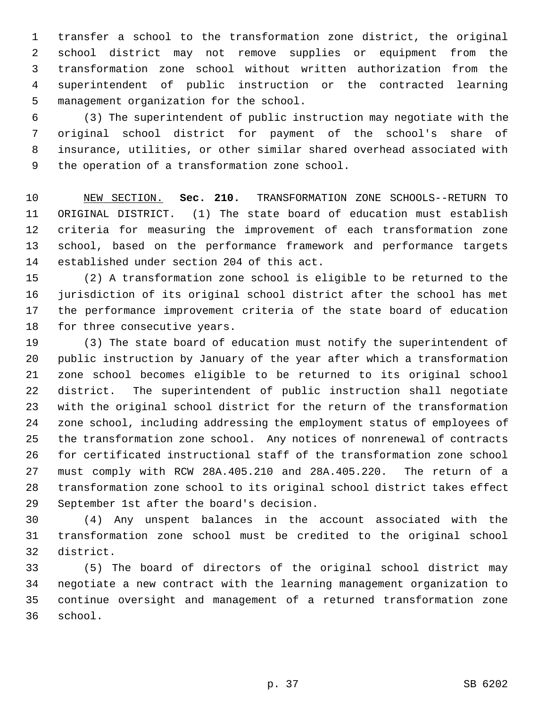1 transfer a school to the transformation zone district, the original 2 school district may not remove supplies or equipment from the 3 transformation zone school without written authorization from the 4 superintendent of public instruction or the contracted learning 5 management organization for the school.

 6 (3) The superintendent of public instruction may negotiate with the 7 original school district for payment of the school's share of 8 insurance, utilities, or other similar shared overhead associated with 9 the operation of a transformation zone school.

10 NEW SECTION. **Sec. 210.** TRANSFORMATION ZONE SCHOOLS--RETURN TO 11 ORIGINAL DISTRICT. (1) The state board of education must establish 12 criteria for measuring the improvement of each transformation zone 13 school, based on the performance framework and performance targets 14 established under section 204 of this act.

15 (2) A transformation zone school is eligible to be returned to the 16 jurisdiction of its original school district after the school has met 17 the performance improvement criteria of the state board of education 18 for three consecutive years.

19 (3) The state board of education must notify the superintendent of 20 public instruction by January of the year after which a transformation 21 zone school becomes eligible to be returned to its original school 22 district. The superintendent of public instruction shall negotiate 23 with the original school district for the return of the transformation 24 zone school, including addressing the employment status of employees of 25 the transformation zone school. Any notices of nonrenewal of contracts 26 for certificated instructional staff of the transformation zone school 27 must comply with RCW 28A.405.210 and 28A.405.220. The return of a 28 transformation zone school to its original school district takes effect 29 September 1st after the board's decision.

30 (4) Any unspent balances in the account associated with the 31 transformation zone school must be credited to the original school 32 district.

33 (5) The board of directors of the original school district may 34 negotiate a new contract with the learning management organization to 35 continue oversight and management of a returned transformation zone 36 school.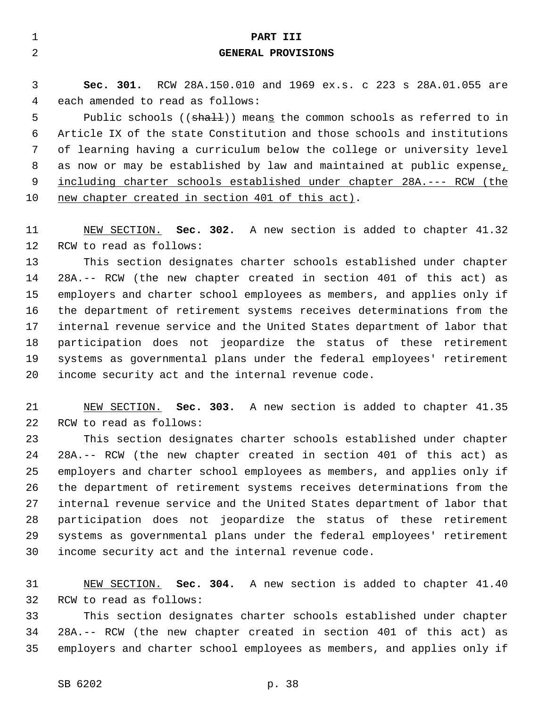| $\mathbf{1}$ | PART III                                                                |
|--------------|-------------------------------------------------------------------------|
| 2            | <b>GENERAL PROVISIONS</b>                                               |
|              |                                                                         |
| 3            | Sec. 301. RCW 28A.150.010 and 1969 ex.s. c 223 s 28A.01.055 are         |
| 4            | each amended to read as follows:                                        |
| 5            | Public schools ((shall)) means the common schools as referred to in     |
| 6            | Article IX of the state Constitution and those schools and institutions |
| 7            | of learning having a curriculum below the college or university level   |
| 8            | as now or may be established by law and maintained at public expense,   |
| 9            | including charter schools established under chapter 28A.--- RCW (the    |
| 10           | new chapter created in section 401 of this act).                        |
|              |                                                                         |
| 11           | NEW SECTION. Sec. 302. A new section is added to chapter 41.32          |
| 12           | RCW to read as follows:                                                 |
| 13           | This section designates charter schools established under chapter       |
| 14           | 28A.-- RCW (the new chapter created in section 401 of this act) as      |
| 15           | employers and charter school employees as members, and applies only if  |
| 16           | the department of retirement systems receives determinations from the   |
| 17           | internal revenue service and the United States department of labor that |
| 18           | participation does not jeopardize the status of these retirement        |
| 19           | systems as governmental plans under the federal employees' retirement   |
| 20           | income security act and the internal revenue code.                      |

21 NEW SECTION. **Sec. 303.** A new section is added to chapter 41.35 22 RCW to read as follows:

23 This section designates charter schools established under chapter 24 28A.-- RCW (the new chapter created in section 401 of this act) as 25 employers and charter school employees as members, and applies only if 26 the department of retirement systems receives determinations from the 27 internal revenue service and the United States department of labor that 28 participation does not jeopardize the status of these retirement 29 systems as governmental plans under the federal employees' retirement 30 income security act and the internal revenue code.

31 NEW SECTION. **Sec. 304.** A new section is added to chapter 41.40 32 RCW to read as follows:

33 This section designates charter schools established under chapter 34 28A.-- RCW (the new chapter created in section 401 of this act) as 35 employers and charter school employees as members, and applies only if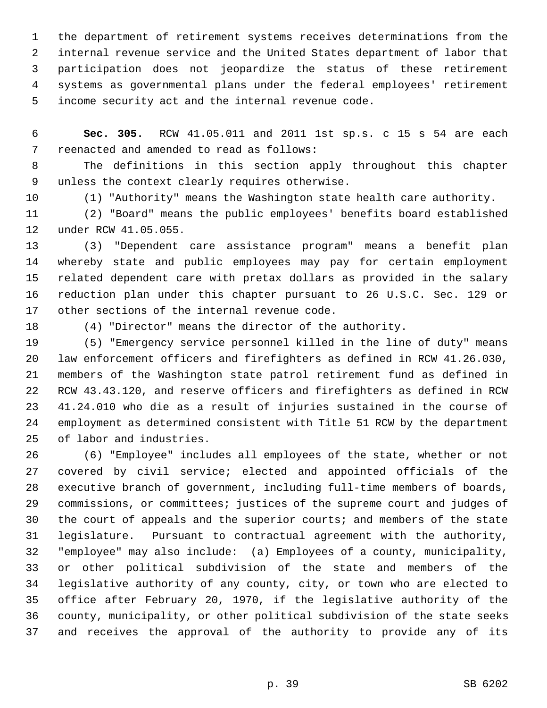1 the department of retirement systems receives determinations from the 2 internal revenue service and the United States department of labor that 3 participation does not jeopardize the status of these retirement 4 systems as governmental plans under the federal employees' retirement 5 income security act and the internal revenue code.

 6 **Sec. 305.** RCW 41.05.011 and 2011 1st sp.s. c 15 s 54 are each 7 reenacted and amended to read as follows:

 8 The definitions in this section apply throughout this chapter 9 unless the context clearly requires otherwise.

10 (1) "Authority" means the Washington state health care authority.

11 (2) "Board" means the public employees' benefits board established 12 under RCW 41.05.055.

13 (3) "Dependent care assistance program" means a benefit plan 14 whereby state and public employees may pay for certain employment 15 related dependent care with pretax dollars as provided in the salary 16 reduction plan under this chapter pursuant to 26 U.S.C. Sec. 129 or 17 other sections of the internal revenue code.

18 (4) "Director" means the director of the authority.

19 (5) "Emergency service personnel killed in the line of duty" means 20 law enforcement officers and firefighters as defined in RCW 41.26.030, 21 members of the Washington state patrol retirement fund as defined in 22 RCW 43.43.120, and reserve officers and firefighters as defined in RCW 23 41.24.010 who die as a result of injuries sustained in the course of 24 employment as determined consistent with Title 51 RCW by the department 25 of labor and industries.

26 (6) "Employee" includes all employees of the state, whether or not 27 covered by civil service; elected and appointed officials of the 28 executive branch of government, including full-time members of boards, 29 commissions, or committees; justices of the supreme court and judges of 30 the court of appeals and the superior courts; and members of the state 31 legislature. Pursuant to contractual agreement with the authority, 32 "employee" may also include: (a) Employees of a county, municipality, 33 or other political subdivision of the state and members of the 34 legislative authority of any county, city, or town who are elected to 35 office after February 20, 1970, if the legislative authority of the 36 county, municipality, or other political subdivision of the state seeks 37 and receives the approval of the authority to provide any of its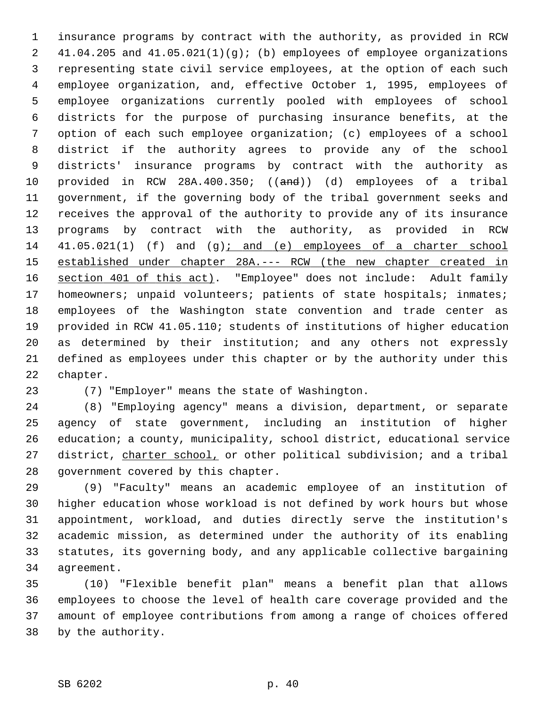1 insurance programs by contract with the authority, as provided in RCW 2 41.04.205 and 41.05.021(1)(g); (b) employees of employee organizations 3 representing state civil service employees, at the option of each such 4 employee organization, and, effective October 1, 1995, employees of 5 employee organizations currently pooled with employees of school 6 districts for the purpose of purchasing insurance benefits, at the 7 option of each such employee organization; (c) employees of a school 8 district if the authority agrees to provide any of the school 9 districts' insurance programs by contract with the authority as 10 provided in RCW 28A.400.350; ((and)) (d) employees of a tribal 11 government, if the governing body of the tribal government seeks and 12 receives the approval of the authority to provide any of its insurance 13 programs by contract with the authority, as provided in RCW 14 41.05.021(1) (f) and (g); and (e) employees of a charter school 15 established under chapter 28A.--- RCW (the new chapter created in 16 section 401 of this act). "Employee" does not include: Adult family 17 homeowners; unpaid volunteers; patients of state hospitals; inmates; 18 employees of the Washington state convention and trade center as 19 provided in RCW 41.05.110; students of institutions of higher education 20 as determined by their institution; and any others not expressly 21 defined as employees under this chapter or by the authority under this 22 chapter.

23 (7) "Employer" means the state of Washington.

24 (8) "Employing agency" means a division, department, or separate 25 agency of state government, including an institution of higher 26 education; a county, municipality, school district, educational service 27 district, charter school, or other political subdivision; and a tribal 28 government covered by this chapter.

29 (9) "Faculty" means an academic employee of an institution of 30 higher education whose workload is not defined by work hours but whose 31 appointment, workload, and duties directly serve the institution's 32 academic mission, as determined under the authority of its enabling 33 statutes, its governing body, and any applicable collective bargaining 34 agreement.

35 (10) "Flexible benefit plan" means a benefit plan that allows 36 employees to choose the level of health care coverage provided and the 37 amount of employee contributions from among a range of choices offered 38 by the authority.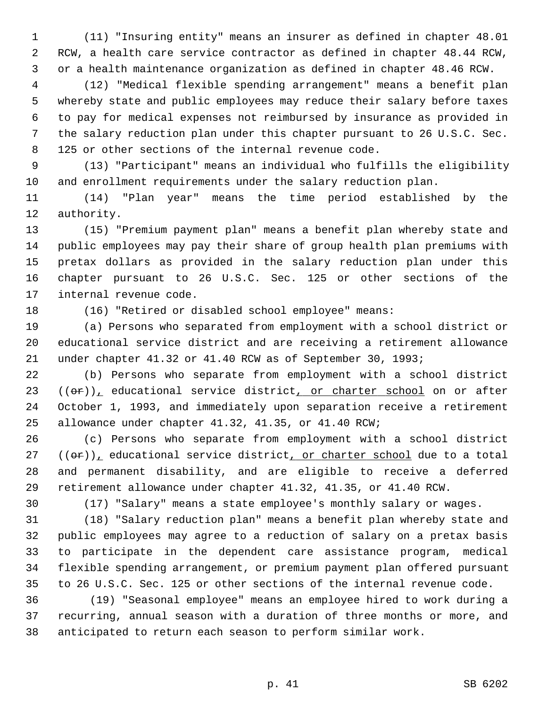1 (11) "Insuring entity" means an insurer as defined in chapter 48.01 2 RCW, a health care service contractor as defined in chapter 48.44 RCW, 3 or a health maintenance organization as defined in chapter 48.46 RCW.

 4 (12) "Medical flexible spending arrangement" means a benefit plan 5 whereby state and public employees may reduce their salary before taxes 6 to pay for medical expenses not reimbursed by insurance as provided in 7 the salary reduction plan under this chapter pursuant to 26 U.S.C. Sec. 8 125 or other sections of the internal revenue code.

 9 (13) "Participant" means an individual who fulfills the eligibility 10 and enrollment requirements under the salary reduction plan.

11 (14) "Plan year" means the time period established by the 12 authority.

13 (15) "Premium payment plan" means a benefit plan whereby state and 14 public employees may pay their share of group health plan premiums with 15 pretax dollars as provided in the salary reduction plan under this 16 chapter pursuant to 26 U.S.C. Sec. 125 or other sections of the 17 internal revenue code.

18 (16) "Retired or disabled school employee" means:

19 (a) Persons who separated from employment with a school district or 20 educational service district and are receiving a retirement allowance 21 under chapter 41.32 or 41.40 RCW as of September 30, 1993;

22 (b) Persons who separate from employment with a school district  $(3 \cdot ((\theta \cdot r))_L$  educational service district, or charter school on or after 24 October 1, 1993, and immediately upon separation receive a retirement 25 allowance under chapter 41.32, 41.35, or 41.40 RCW;

26 (c) Persons who separate from employment with a school district  $27$  (( $\theta$ r)), educational service district, or charter school due to a total 28 and permanent disability, and are eligible to receive a deferred 29 retirement allowance under chapter 41.32, 41.35, or 41.40 RCW.

30 (17) "Salary" means a state employee's monthly salary or wages.

31 (18) "Salary reduction plan" means a benefit plan whereby state and 32 public employees may agree to a reduction of salary on a pretax basis 33 to participate in the dependent care assistance program, medical 34 flexible spending arrangement, or premium payment plan offered pursuant 35 to 26 U.S.C. Sec. 125 or other sections of the internal revenue code.

36 (19) "Seasonal employee" means an employee hired to work during a 37 recurring, annual season with a duration of three months or more, and 38 anticipated to return each season to perform similar work.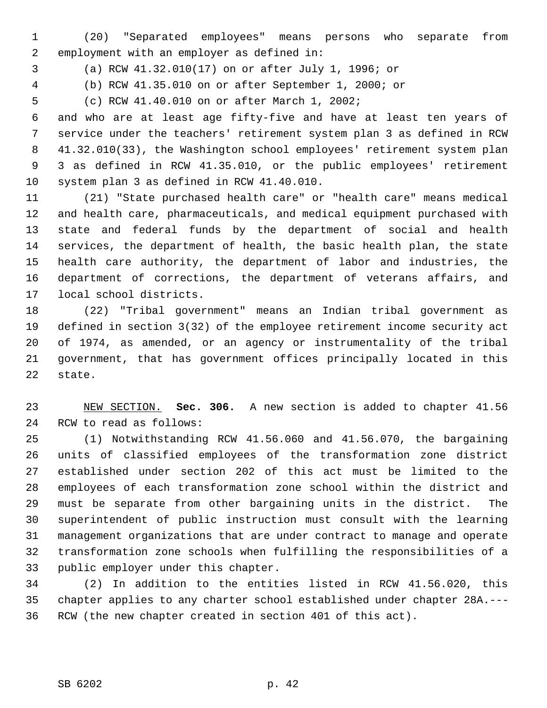1 (20) "Separated employees" means persons who separate from 2 employment with an employer as defined in:

3 (a) RCW 41.32.010(17) on or after July 1, 1996; or

4 (b) RCW 41.35.010 on or after September 1, 2000; or

5 (c) RCW 41.40.010 on or after March 1, 2002;

 6 and who are at least age fifty-five and have at least ten years of 7 service under the teachers' retirement system plan 3 as defined in RCW 8 41.32.010(33), the Washington school employees' retirement system plan 9 3 as defined in RCW 41.35.010, or the public employees' retirement 10 system plan 3 as defined in RCW 41.40.010.

11 (21) "State purchased health care" or "health care" means medical 12 and health care, pharmaceuticals, and medical equipment purchased with 13 state and federal funds by the department of social and health 14 services, the department of health, the basic health plan, the state 15 health care authority, the department of labor and industries, the 16 department of corrections, the department of veterans affairs, and 17 local school districts.

18 (22) "Tribal government" means an Indian tribal government as 19 defined in section 3(32) of the employee retirement income security act 20 of 1974, as amended, or an agency or instrumentality of the tribal 21 government, that has government offices principally located in this 22 state.

23 NEW SECTION. **Sec. 306.** A new section is added to chapter 41.56 24 RCW to read as follows:

25 (1) Notwithstanding RCW 41.56.060 and 41.56.070, the bargaining 26 units of classified employees of the transformation zone district 27 established under section 202 of this act must be limited to the 28 employees of each transformation zone school within the district and 29 must be separate from other bargaining units in the district. The 30 superintendent of public instruction must consult with the learning 31 management organizations that are under contract to manage and operate 32 transformation zone schools when fulfilling the responsibilities of a 33 public employer under this chapter.

34 (2) In addition to the entities listed in RCW 41.56.020, this 35 chapter applies to any charter school established under chapter 28A.--- 36 RCW (the new chapter created in section 401 of this act).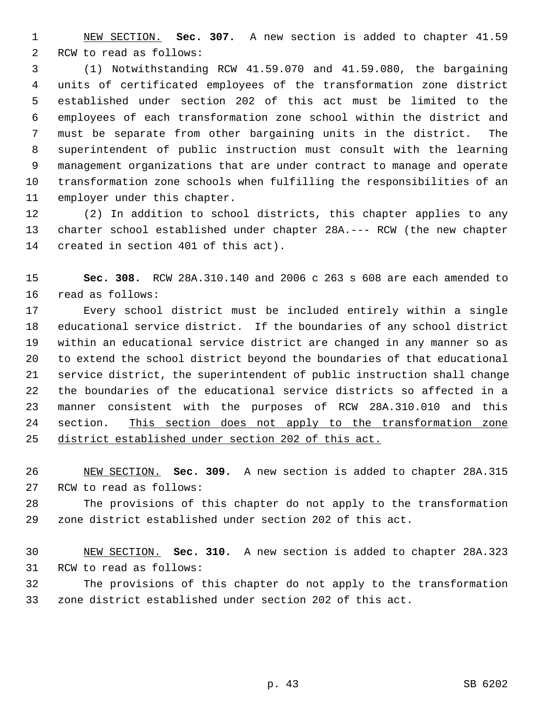1 NEW SECTION. **Sec. 307.** A new section is added to chapter 41.59 2 RCW to read as follows:

 3 (1) Notwithstanding RCW 41.59.070 and 41.59.080, the bargaining 4 units of certificated employees of the transformation zone district 5 established under section 202 of this act must be limited to the 6 employees of each transformation zone school within the district and 7 must be separate from other bargaining units in the district. The 8 superintendent of public instruction must consult with the learning 9 management organizations that are under contract to manage and operate 10 transformation zone schools when fulfilling the responsibilities of an 11 employer under this chapter.

12 (2) In addition to school districts, this chapter applies to any 13 charter school established under chapter 28A.--- RCW (the new chapter 14 created in section 401 of this act).

15 **Sec. 308.** RCW 28A.310.140 and 2006 c 263 s 608 are each amended to 16 read as follows:

17 Every school district must be included entirely within a single 18 educational service district. If the boundaries of any school district 19 within an educational service district are changed in any manner so as 20 to extend the school district beyond the boundaries of that educational 21 service district, the superintendent of public instruction shall change 22 the boundaries of the educational service districts so affected in a 23 manner consistent with the purposes of RCW 28A.310.010 and this 24 section. This section does not apply to the transformation zone 25 district established under section 202 of this act.

26 NEW SECTION. **Sec. 309.** A new section is added to chapter 28A.315 27 RCW to read as follows:

28 The provisions of this chapter do not apply to the transformation 29 zone district established under section 202 of this act.

30 NEW SECTION. **Sec. 310.** A new section is added to chapter 28A.323 31 RCW to read as follows:

32 The provisions of this chapter do not apply to the transformation 33 zone district established under section 202 of this act.